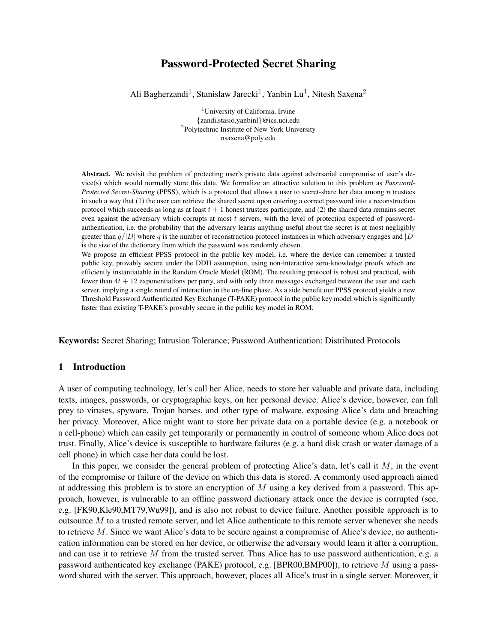# Password-Protected Secret Sharing

Ali Bagherzandi<sup>1</sup>, Stanislaw Jarecki<sup>1</sup>, Yanbin Lu<sup>1</sup>, Nitesh Saxena<sup>2</sup>

<sup>1</sup>University of California, Irvine {zandi,stasio,yanbinl}@ics.uci.edu <sup>2</sup>Polytechnic Institute of New York University nsaxena@poly.edu

Abstract. We revisit the problem of protecting user's private data against adversarial compromise of user's device(s) which would normally store this data. We formalize an attractive solution to this problem as *Password-Protected Secret-Sharing* (PPSS), which is a protocol that allows a user to secret-share her data among n trustees in such a way that (1) the user can retrieve the shared secret upon entering a correct password into a reconstruction protocol which succeeds as long as at least  $t + 1$  honest trustees participate, and (2) the shared data remains secret even against the adversary which corrupts at most t servers, with the level of protection expected of passwordauthentication, i.e. the probability that the adversary learns anything useful about the secret is at most negligibly greater than  $q/|D|$  where q is the number of reconstruction protocol instances in which adversary engages and |D| is the size of the dictionary from which the password was randomly chosen.

We propose an efficient PPSS protocol in the public key model, i.e. where the device can remember a trusted public key, provably secure under the DDH assumption, using non-interactive zero-knowledge proofs which are efficiently instantiatable in the Random Oracle Model (ROM). The resulting protocol is robust and practical, with fewer than  $4t + 12$  exponentiations per party, and with only three messages exchanged between the user and each server, implying a single round of interaction in the on-line phase. As a side benefit our PPSS protocol yields a new Threshold Password Authenticated Key Exchange (T-PAKE) protocol in the public key model which is significantly faster than existing T-PAKE's provably secure in the public key model in ROM.

Keywords: Secret Sharing; Intrusion Tolerance; Password Authentication; Distributed Protocols

## 1 Introduction

A user of computing technology, let's call her Alice, needs to store her valuable and private data, including texts, images, passwords, or cryptographic keys, on her personal device. Alice's device, however, can fall prey to viruses, spyware, Trojan horses, and other type of malware, exposing Alice's data and breaching her privacy. Moreover, Alice might want to store her private data on a portable device (e.g. a notebook or a cell-phone) which can easily get temporarily or permanently in control of someone whom Alice does not trust. Finally, Alice's device is susceptible to hardware failures (e.g. a hard disk crash or water damage of a cell phone) in which case her data could be lost.

In this paper, we consider the general problem of protecting Alice's data, let's call it  $M$ , in the event of the compromise or failure of the device on which this data is stored. A commonly used approach aimed at addressing this problem is to store an encryption of  $M$  using a key derived from a password. This approach, however, is vulnerable to an offline password dictionary attack once the device is corrupted (see, e.g. [FK90,Kle90,MT79,Wu99]), and is also not robust to device failure. Another possible approach is to outsource M to a trusted remote server, and let Alice authenticate to this remote server whenever she needs to retrieve M. Since we want Alice's data to be secure against a compromise of Alice's device, no authentication information can be stored on her device, or otherwise the adversary would learn it after a corruption, and can use it to retrieve  $M$  from the trusted server. Thus Alice has to use password authentication, e.g. a password authenticated key exchange (PAKE) protocol, e.g. [BPR00,BMP00]), to retrieve M using a password shared with the server. This approach, however, places all Alice's trust in a single server. Moreover, it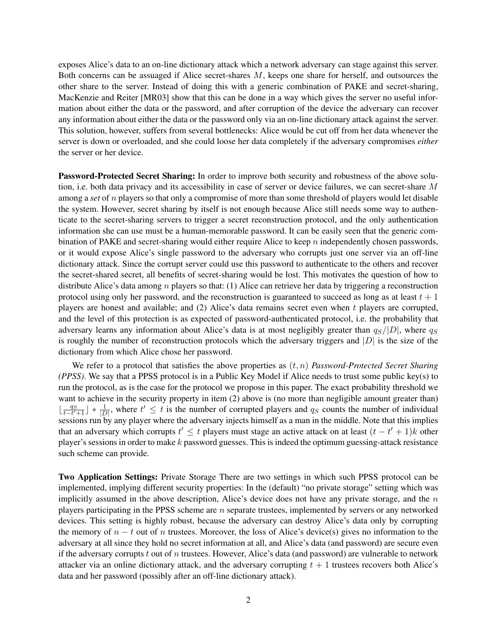exposes Alice's data to an on-line dictionary attack which a network adversary can stage against this server. Both concerns can be assuaged if Alice secret-shares M, keeps one share for herself, and outsources the other share to the server. Instead of doing this with a generic combination of PAKE and secret-sharing, MacKenzie and Reiter [MR03] show that this can be done in a way which gives the server no useful information about either the data or the password, and after corruption of the device the adversary can recover any information about either the data or the password only via an on-line dictionary attack against the server. This solution, however, suffers from several bottlenecks: Alice would be cut off from her data whenever the server is down or overloaded, and she could loose her data completely if the adversary compromises *either* the server or her device.

Password-Protected Secret Sharing: In order to improve both security and robustness of the above solution, i.e. both data privacy and its accessibility in case of server or device failures, we can secret-share M among a *set* of n players so that only a compromise of more than some threshold of players would let disable the system. However, secret sharing by itself is not enough because Alice still needs some way to authenticate to the secret-sharing servers to trigger a secret reconstruction protocol, and the only authentication information she can use must be a human-memorable password. It can be easily seen that the generic combination of PAKE and secret-sharing would either require Alice to keep  $n$  independently chosen passwords, or it would expose Alice's single password to the adversary who corrupts just one server via an off-line dictionary attack. Since the corrupt server could use this password to authenticate to the others and recover the secret-shared secret, all benefits of secret-sharing would be lost. This motivates the question of how to distribute Alice's data among n players so that: (1) Alice can retrieve her data by triggering a reconstruction protocol using only her password, and the reconstruction is guaranteed to succeed as long as at least  $t + 1$ players are honest and available; and (2) Alice's data remains secret even when t players are corrupted, and the level of this protection is as expected of password-authenticated protocol, i.e. the probability that adversary learns any information about Alice's data is at most negligibly greater than  $q_S/|D|$ , where  $q_S$ is roughly the number of reconstruction protocols which the adversary triggers and  $|D|$  is the size of the dictionary from which Alice chose her password.

We refer to a protocol that satisfies the above properties as (t, n) *Password-Protected Secret Sharing (PPSS)*. We say that a PPSS protocol is in a Public Key Model if Alice needs to trust some public key(s) to run the protocol, as is the case for the protocol we propose in this paper. The exact probability threshold we want to achieve in the security property in item (2) above is (no more than negligible amount greater than)  $\lfloor \frac{q_S}{t-t'+1} \rfloor * \frac{1}{|D|}$ , where  $t' \leq t$  is the number of corrupted players and  $q_S$  counts the number of individual sessions run by any player where the adversary injects himself as a man in the middle. Note that this implies that an adversary which corrupts  $t' \leq t$  players must stage an active attack on at least  $(t - t' + 1)k$  other player's sessions in order to make  $k$  password guesses. This is indeed the optimum guessing-attack resistance such scheme can provide.

Two Application Settings: Private Storage There are two settings in which such PPSS protocol can be implemented, implying different security properties: In the (default) "no private storage" setting which was implicitly assumed in the above description, Alice's device does not have any private storage, and the  $n$ players participating in the PPSS scheme are  $n$  separate trustees, implemented by servers or any networked devices. This setting is highly robust, because the adversary can destroy Alice's data only by corrupting the memory of  $n - t$  out of n trustees. Moreover, the loss of Alice's device(s) gives no information to the adversary at all since they hold no secret information at all, and Alice's data (and password) are secure even if the adversary corrupts  $t$  out of  $n$  trustees. However, Alice's data (and password) are vulnerable to network attacker via an online dictionary attack, and the adversary corrupting  $t + 1$  trustees recovers both Alice's data and her password (possibly after an off-line dictionary attack).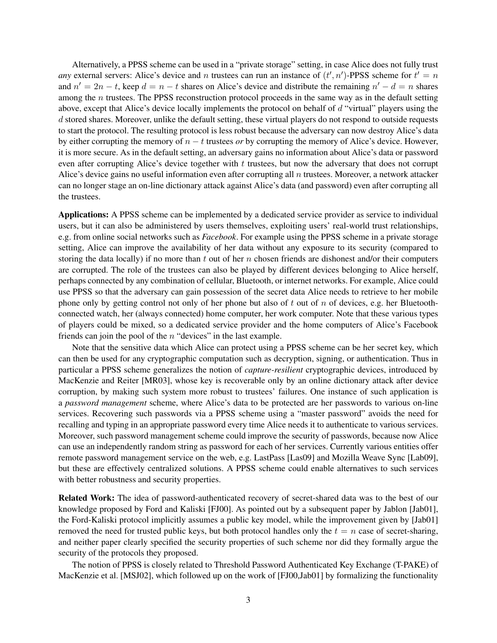Alternatively, a PPSS scheme can be used in a "private storage" setting, in case Alice does not fully trust *any* external servers: Alice's device and n trustees can run an instance of  $(t', n')$ -PPSS scheme for  $t' = n$ and  $n' = 2n - t$ , keep  $d = n - t$  shares on Alice's device and distribute the remaining  $n' - d = n$  shares among the *n* trustees. The PPSS reconstruction protocol proceeds in the same way as in the default setting above, except that Alice's device locally implements the protocol on behalf of d "virtual" players using the d stored shares. Moreover, unlike the default setting, these virtual players do not respond to outside requests to start the protocol. The resulting protocol is less robust because the adversary can now destroy Alice's data by either corrupting the memory of n − t trustees *or* by corrupting the memory of Alice's device. However, it is more secure. As in the default setting, an adversary gains no information about Alice's data or password even after corrupting Alice's device together with t trustees, but now the adversary that does not corrupt Alice's device gains no useful information even after corrupting all  $n$  trustees. Moreover, a network attacker can no longer stage an on-line dictionary attack against Alice's data (and password) even after corrupting all the trustees.

Applications: A PPSS scheme can be implemented by a dedicated service provider as service to individual users, but it can also be administered by users themselves, exploiting users' real-world trust relationships, e.g. from online social networks such as *Facebook*. For example using the PPSS scheme in a private storage setting, Alice can improve the availability of her data without any exposure to its security (compared to storing the data locally) if no more than  $t$  out of her  $n$  chosen friends are dishonest and/or their computers are corrupted. The role of the trustees can also be played by different devices belonging to Alice herself, perhaps connected by any combination of cellular, Bluetooth, or internet networks. For example, Alice could use PPSS so that the adversary can gain possession of the secret data Alice needs to retrieve to her mobile phone only by getting control not only of her phone but also of t out of n of devices, e.g. her Bluetoothconnected watch, her (always connected) home computer, her work computer. Note that these various types of players could be mixed, so a dedicated service provider and the home computers of Alice's Facebook friends can join the pool of the n "devices" in the last example.

Note that the sensitive data which Alice can protect using a PPSS scheme can be her secret key, which can then be used for any cryptographic computation such as decryption, signing, or authentication. Thus in particular a PPSS scheme generalizes the notion of *capture-resilient* cryptographic devices, introduced by MacKenzie and Reiter [MR03], whose key is recoverable only by an online dictionary attack after device corruption, by making such system more robust to trustees' failures. One instance of such application is a *password management* scheme, where Alice's data to be protected are her passwords to various on-line services. Recovering such passwords via a PPSS scheme using a "master password" avoids the need for recalling and typing in an appropriate password every time Alice needs it to authenticate to various services. Moreover, such password management scheme could improve the security of passwords, because now Alice can use an independently random string as password for each of her services. Currently various entities offer remote password management service on the web, e.g. LastPass [Las09] and Mozilla Weave Sync [Lab09], but these are effectively centralized solutions. A PPSS scheme could enable alternatives to such services with better robustness and security properties.

Related Work: The idea of password-authenticated recovery of secret-shared data was to the best of our knowledge proposed by Ford and Kaliski [FJ00]. As pointed out by a subsequent paper by Jablon [Jab01], the Ford-Kaliski protocol implicitly assumes a public key model, while the improvement given by [Jab01] removed the need for trusted public keys, but both protocol handles only the  $t = n$  case of secret-sharing, and neither paper clearly specified the security properties of such scheme nor did they formally argue the security of the protocols they proposed.

The notion of PPSS is closely related to Threshold Password Authenticated Key Exchange (T-PAKE) of MacKenzie et al. [MSJ02], which followed up on the work of [FJ00,Jab01] by formalizing the functionality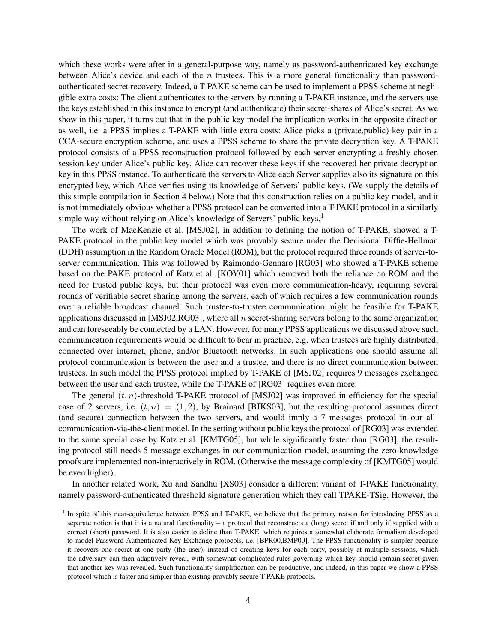which these works were after in a general-purpose way, namely as password-authenticated key exchange between Alice's device and each of the  $n$  trustees. This is a more general functionality than passwordauthenticated secret recovery. Indeed, a T-PAKE scheme can be used to implement a PPSS scheme at negligible extra costs: The client authenticates to the servers by running a T-PAKE instance, and the servers use the keys established in this instance to encrypt (and authenticate) their secret-shares of Alice's secret. As we show in this paper, it turns out that in the public key model the implication works in the opposite direction as well, i.e. a PPSS implies a T-PAKE with little extra costs: Alice picks a (private,public) key pair in a CCA-secure encryption scheme, and uses a PPSS scheme to share the private decryption key. A T-PAKE protocol consists of a PPSS reconstruction protocol followed by each server encrypting a freshly chosen session key under Alice's public key. Alice can recover these keys if she recovered her private decryption key in this PPSS instance. To authenticate the servers to Alice each Server supplies also its signature on this encrypted key, which Alice verifies using its knowledge of Servers' public keys. (We supply the details of this simple compilation in Section 4 below.) Note that this construction relies on a public key model, and it is not immediately obvious whether a PPSS protocol can be converted into a T-PAKE protocol in a similarly simple way without relying on Alice's knowledge of Servers' public keys.<sup>1</sup>

The work of MacKenzie et al. [MSJ02], in addition to defining the notion of T-PAKE, showed a T-PAKE protocol in the public key model which was provably secure under the Decisional Diffie-Hellman (DDH) assumption in the Random Oracle Model (ROM), but the protocol required three rounds of server-toserver communication. This was followed by Raimondo-Gennaro [RG03] who showed a T-PAKE scheme based on the PAKE protocol of Katz et al. [KOY01] which removed both the reliance on ROM and the need for trusted public keys, but their protocol was even more communication-heavy, requiring several rounds of verifiable secret sharing among the servers, each of which requires a few communication rounds over a reliable broadcast channel. Such trustee-to-trustee communication might be feasible for T-PAKE applications discussed in [MSJ02,RG03], where all n secret-sharing servers belong to the same organization and can foreseeably be connected by a LAN. However, for many PPSS applications we discussed above such communication requirements would be difficult to bear in practice, e.g. when trustees are highly distributed, connected over internet, phone, and/or Bluetooth networks. In such applications one should assume all protocol communication is between the user and a trustee, and there is no direct communication between trustees. In such model the PPSS protocol implied by T-PAKE of [MSJ02] requires 9 messages exchanged between the user and each trustee, while the T-PAKE of [RG03] requires even more.

The general  $(t, n)$ -threshold T-PAKE protocol of [MSJ02] was improved in efficiency for the special case of 2 servers, i.e.  $(t, n) = (1, 2)$ , by Brainard [BJKS03], but the resulting protocol assumes direct (and secure) connection between the two servers, and would imply a 7 messages protocol in our allcommunication-via-the-client model. In the setting without public keys the protocol of [RG03] was extended to the same special case by Katz et al. [KMTG05], but while significantly faster than [RG03], the resulting protocol still needs 5 message exchanges in our communication model, assuming the zero-knowledge proofs are implemented non-interactively in ROM. (Otherwise the message complexity of [KMTG05] would be even higher).

In another related work, Xu and Sandhu [XS03] consider a different variant of T-PAKE functionality, namely password-authenticated threshold signature generation which they call TPAKE-TSig. However, the

<sup>&</sup>lt;sup>1</sup> In spite of this near-equivalence between PPSS and T-PAKE, we believe that the primary reason for introducing PPSS as a separate notion is that it is a natural functionality – a protocol that reconstructs a (long) secret if and only if supplied with a correct (short) password. It is also easier to define than T-PAKE, which requires a somewhat elaborate formalism developed to model Password-Authenticated Key Exchange protocols, i.e. [BPR00,BMP00]. The PPSS functionality is simpler because it recovers one secret at one party (the user), instead of creating keys for each party, possibly at multiple sessions, which the adversary can then adaptively reveal, with somewhat complicated rules governing which key should remain secret given that another key was revealed. Such functionality simplification can be productive, and indeed, in this paper we show a PPSS protocol which is faster and simpler than existing provably secure T-PAKE protocols.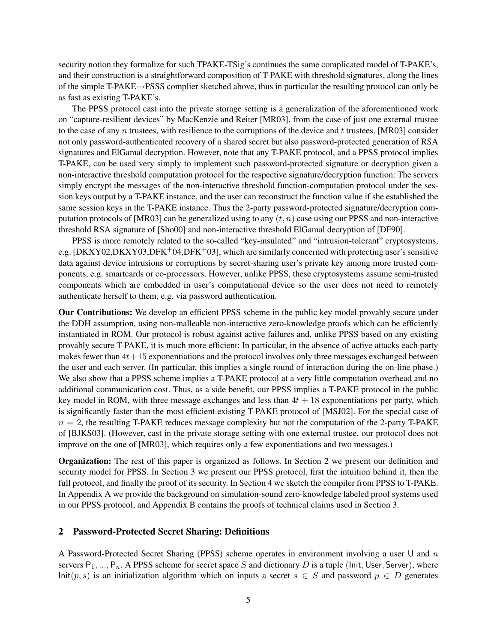security notion they formalize for such TPAKE-TSig's continues the same complicated model of T-PAKE's, and their construction is a straightforward composition of T-PAKE with threshold signatures, along the lines of the simple T-PAKE→PSSS complier sketched above, thus in particular the resulting protocol can only be as fast as existing T-PAKE's.

The PPSS protocol cast into the private storage setting is a generalization of the aforementioned work on "capture-resilient devices" by MacKenzie and Reiter [MR03], from the case of just one external trustee to the case of any n trustees, with resilience to the corruptions of the device and t trustees. [MR03] consider not only password-authenticated recovery of a shared secret but also password-protected generation of RSA signatures and ElGamal decryption. However, note that any T-PAKE protocol, and a PPSS protocol implies T-PAKE, can be used very simply to implement such password-protected signature or decryption given a non-interactive threshold computation protocol for the respective signature/decryption function: The servers simply encrypt the messages of the non-interactive threshold function-computation protocol under the session keys output by a T-PAKE instance, and the user can reconstruct the function value if she established the same session keys in the T-PAKE instance. Thus the 2-party password-protected signature/decryption computation protocols of [MR03] can be generalized using to any  $(t, n)$  case using our PPSS and non-interactive threshold RSA signature of [Sho00] and non-interactive threshold ElGamal decryption of [DF90].

PPSS is more remotely related to the so-called "key-insulated" and "intrusion-tolerant" cryptosystems, e.g. [DKXY02,DKXY03,DFK+04,DFK+03], which are similarly concerned with protecting user's sensitive data against device intrusions or corruptions by secret-sharing user's private key among more trusted components, e.g. smartcards or co-processors. However, unlike PPSS, these cryptosystems assume semi-trusted components which are embedded in user's computational device so the user does not need to remotely authenticate herself to them, e.g. via password authentication.

Our Contributions: We develop an efficient PPSS scheme in the public key model provably secure under the DDH assumption, using non-malleable non-interactive zero-knowledge proofs which can be efficiently instantiated in ROM. Our protocol is robust against active failures and, unlike PPSS based on any existing provably secure T-PAKE, it is much more efficient: In particular, in the absence of active attacks each party makes fewer than  $4t+15$  exponentiations and the protocol involves only three messages exchanged between the user and each server. (In particular, this implies a single round of interaction during the on-line phase.) We also show that a PPSS scheme implies a T-PAKE protocol at a very little computation overhead and no additional communication cost. Thus, as a side benefit, our PPSS implies a T-PAKE protocol in the public key model in ROM, with three message exchanges and less than  $4t + 18$  exponentiations per party, which is significantly faster than the most efficient existing T-PAKE protocol of [MSJ02]. For the special case of  $n = 2$ , the resulting T-PAKE reduces message complexity but not the computation of the 2-party T-PAKE of [BJKS03]. (However, cast in the private storage setting with one external trustee, our protocol does not improve on the one of [MR03], which requires only a few exponentiations and two messages.)

Organization: The rest of this paper is organized as follows. In Section 2 we present our definition and security model for PPSS. In Section 3 we present our PPSS protocol, first the intuition behind it, then the full protocol, and finally the proof of its security. In Section 4 we sketch the compiler from PPSS to T-PAKE. In Appendix A we provide the background on simulation-sound zero-knowledge labeled proof systems used in our PPSS protocol, and Appendix B contains the proofs of technical claims used in Section 3.

### 2 Password-Protected Secret Sharing: Definitions

A Password-Protected Secret Sharing (PPSS) scheme operates in environment involving a user U and  $n$ servers  $P_1, ..., P_n$ . A PPSS scheme for secret space S and dictionary D is a tuple (Init, User, Server), where Init(p, s) is an initialization algorithm which on inputs a secret s ∈ S and password  $p ∈ D$  generates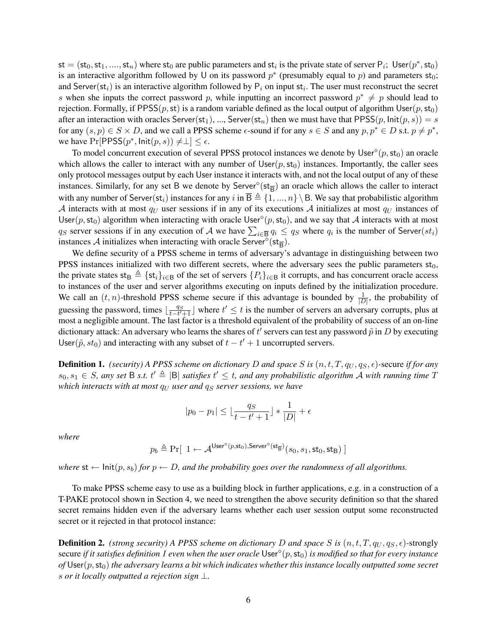$\mathsf{st} = (\mathsf{st}_0, \mathsf{st}_1, \ldots, \mathsf{st}_n)$  where  $\mathsf{st}_0$  are public parameters and  $\mathsf{st}_i$  is the private state of server  $\mathsf{P}_i$ ; User $(p^*, \mathsf{st}_0)$ is an interactive algorithm followed by U on its password  $p^*$  (presumably equal to p) and parameters  $st_0$ ; and Server(st<sub>i</sub>) is an interactive algorithm followed by  $P_i$  on input st<sub>i</sub>. The user must reconstruct the secret s when she inputs the correct password p, while inputting an incorrect password  $p^* \neq p$  should lead to rejection. Formally, if PPSS $(p, st)$  is a random variable defined as the local output of algorithm User $(p, st_0)$ after an interaction with oracles Server(st<sub>1</sub>), ..., Server(st<sub>n</sub>) then we must have that PPSS(p,  $Init(p, s)$ ) = s for any  $(s, p) \in S \times D$ , and we call a PPSS scheme  $\epsilon$ -sound if for any  $s \in S$  and any  $p, p^* \in D$  s.t.  $p \neq p^*$ , we have  $Pr[PPSS(p^*, \text{Init}(p, s)) \neq \perp] \leq \epsilon$ .

To model concurrent execution of several PPSS protocol instances we denote by  $\text{User}^{\diamond}(p, \text{st}_0)$  an oracle which allows the caller to interact with any number of  $Use(r, st_0)$  instances. Importantly, the caller sees only protocol messages output by each User instance it interacts with, and not the local output of any of these instances. Similarly, for any set B we denote by  $Server^{\circ}(\text{st}_{\overline{B}})$  an oracle which allows the caller to interact with any number of Server(st<sub>i</sub>) instances for any i in  $\overline{B} \triangleq \{1, ..., n\} \setminus B$ . We say that probabilistic algorithm A interacts with at most  $q_U$  user sessions if in any of its executions A initializes at most  $q_U$  instances of User(p, st<sub>0</sub>) algorithm when interacting with oracle User<sup>o</sup>(p, st<sub>0</sub>), and we say that A interacts with at most  $q_S$  server sessions if in any execution of A we have  $\sum_{i\in\overline{B}} q_i \le q_S$  where  $q_i$  is the number of Server $(st_i)$ instances A initializes when interacting with oracle Server<sup> $\delta$ </sup>(st<sub>B</sub>).

We define security of a PPSS scheme in terms of adversary's advantage in distinguishing between two PPSS instances initialized with two different secrets, where the adversary sees the public parameters  $st_0$ , the private states st<sub>B</sub>  $\triangleq$  {st<sub>i</sub>}<sub>i∈B</sub> of the set of servers  $\{P_i\}_{i\in B}$  it corrupts, and has concurrent oracle access to instances of the user and server algorithms executing on inputs defined by the initialization procedure. We call an  $(t, n)$ -threshold PPSS scheme secure if this advantage is bounded by  $\frac{1}{|D|}$ , the probability of guessing the password, times  $\lfloor \frac{qs}{t-t'+1} \rfloor$  where  $t' \leq t$  is the number of servers an adversary corrupts, plus at most a negligible amount. The last factor is a threshold equivalent of the probability of success of an on-line dictionary attack: An adversary who learns the shares of  $t'$  servers can test any password  $\tilde{p}$  in  $D$  by executing User( $\tilde{p}$ ,  $st_0$ ) and interacting with any subset of  $t - t' + 1$  uncorrupted servers.

**Definition 1.** *(security) A PPSS scheme on dictionary D and space* S is  $(n, t, T, q_U, q_S, \epsilon)$ -secure *if for any*  $s_0, s_1 \in S$ , any set B s.t.  $t' \triangleq |\mathsf{B}|$  satisfies  $t' \leq t$ , and any probabilistic algorithm A with running time T *which interacts with at most*  $q_U$  *user and*  $q_S$  *server sessions, we have* 

$$
|p_0 - p_1| \leq \lfloor \frac{q_S}{t-t'+1} \rfloor * \frac{1}{|D|} + \epsilon
$$

*where*

$$
p_b \triangleq \Pr[\ 1 \leftarrow \mathcal{A}^{\textsf{User}^{\diamond} (p, \textsf{st}_0), \textsf{Server}^{\diamond} (\textsf{st}_{\overline{\mathsf{B}}})} (s_0, s_1, \textsf{st}_0, \textsf{st}_{\mathsf{B}}) \ ]
$$

*where*  $st \leftarrow \text{Init}(p, s_b)$  *for*  $p \leftarrow D$ *, and the probability goes over the randomness of all algorithms.* 

To make PPSS scheme easy to use as a building block in further applications, e.g. in a construction of a T-PAKE protocol shown in Section 4, we need to strengthen the above security definition so that the shared secret remains hidden even if the adversary learns whether each user session output some reconstructed secret or it rejected in that protocol instance:

**Definition 2.** *(strong security) A PPSS scheme on dictionary D and space* S is  $(n, t, T, q_U, q_S, \epsilon)$ -strongly secure *if it satisfies definition 1 even when the user oracle* User (p,st0) *is modified so that for every instance*  $of$  User $(p, st_0)$  *the adversary learns a bit which indicates whether this instance locally outputted some secret* s *or it locally outputted a rejection sign* ⊥*.*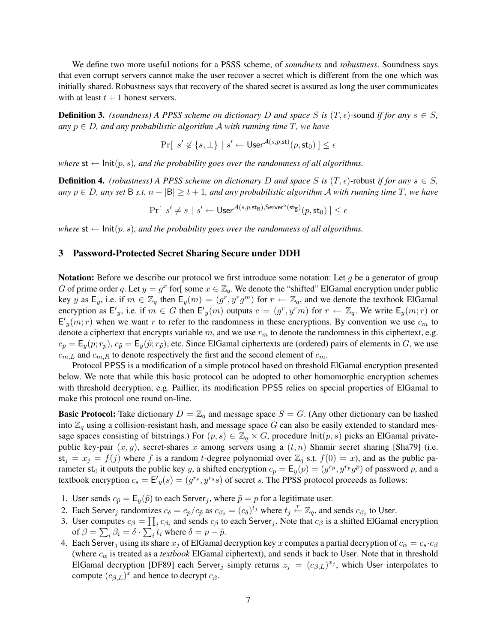We define two more useful notions for a PSSS scheme, of *soundness* and *robustness*. Soundness says that even corrupt servers cannot make the user recover a secret which is different from the one which was initially shared. Robustness says that recovery of the shared secret is assured as long the user communicates with at least  $t + 1$  honest servers.

**Definition 3.** *(soundness) A PPSS scheme on dictionary* D *and space* S *is*  $(T, \epsilon)$ -sound *if for any*  $s \in S$ ,  $any$   $p \in D$ , and any probabilistic algorithm A with running time T, we have

$$
\Pr[\hspace{2pt} s' \not\in \{s,\bot\} \hspace{2pt}|\hspace{2pt} s' \gets \mathsf{User}^{\mathcal{A}(s,p,\mathsf{st})}(p,\mathsf{st}_0)\hspace{2pt}] \leq \epsilon
$$

*where*  $st \leftarrow \text{Init}(p, s)$ *, and the probability goes over the randomness of all algorithms.* 

**Definition 4.** *(robustness) A PPSS scheme on dictionary* D *and space* S *is*  $(T, \epsilon)$ -robust *if for any*  $s \in S$ , *any*  $p ∈ D$ *, any set* B *s.t.*  $n - |B| ≥ t + 1$ *, and any probabilistic algorithm A with running time T, we have* 

 $\Pr[ \enspace s' \neq s \mid s' \leftarrow \mathsf{User}^{\mathcal{A}(s,p,\mathsf{st}_\mathsf{B}),\mathsf{Server}^\diamond(\mathsf{st}_{\overline{\mathsf{B}}})}(p,\mathsf{st}_0) \mid\ \leq \epsilon$ 

*where*  $st \leftarrow \text{Init}(p, s)$ *, and the probability goes over the randomness of all algorithms.* 

## 3 Password-Protected Secret Sharing Secure under DDH

**Notation:** Before we describe our protocol we first introduce some notation: Let q be a generator of group G of prime order q. Let  $y = g^x$  for some  $x \in \mathbb{Z}_q$ . We denote the "shifted" ElGamal encryption under public key y as  $E_y$ , i.e. if  $m \in \mathbb{Z}_q$  then  $E_y(m) = (g^r, g^r g^m)$  for  $r \leftarrow \mathbb{Z}_q$ , and we denote the textbook ElGamal encryption as  $E'_y$ , i.e. if  $m \in G$  then  $E'_y(m)$  outputs  $c = (g^r, y^r m)$  for  $r \leftarrow \mathbb{Z}_q$ . We write  $E_y(m; r)$  or  $E'_y(m;r)$  when we want r to refer to the randomness in these encryptions. By convention we use  $c_m$  to denote a ciphertext that encrypts variable m, and we use  $r_m$  to denote the randomness in this ciphertext, e.g.  $c_p = \mathsf{E}_y(p; r_p)$ ,  $c_{\tilde{p}} = \mathsf{E}_y(\tilde{p}; r_{\tilde{p}})$ , etc. Since ElGamal ciphertexts are (ordered) pairs of elements in G, we use  $c_{m,L}$  and  $c_{m,R}$  to denote respectively the first and the second element of  $c_m$ .

Protocol PPSS is a modification of a simple protocol based on threshold ElGamal encryption presented below. We note that while this basic protocol can be adopted to other homomorphic encryption schemes with threshold decryption, e.g. Paillier, its modification PPSS relies on special properties of ElGamal to make this protocol one round on-line.

**Basic Protocol:** Take dictionary  $D = \mathbb{Z}_q$  and message space  $S = G$ . (Any other dictionary can be hashed into  $\mathbb{Z}_q$  using a collision-resistant hash, and message space G can also be easily extended to standard message spaces consisting of bitstrings.) For  $(p, s) \in \mathbb{Z}_q \times G$ , procedure  $Init(p, s)$  picks an ElGamal privatepublic key-pair  $(x, y)$ , secret-shares x among servers using a  $(t, n)$  Shamir secret sharing [Sha79] (i.e.  $st_j = x_j = f(j)$  where f is a random t-degree polynomial over  $\mathbb{Z}_q$  s.t.  $f(0) = x$ ), and as the public parameter st<sub>0</sub> it outputs the public key y, a shifted encryption  $c_p = \mathsf{E}_y(p) = (g^{r_p}, y^{r_p}g^p)$  of password p, and a textbook encryption  $c_s = \mathsf{E}'_y(s) = (g^{rs}, y^{rs}s)$  of secret s. The PPSS protocol proceeds as follows:

- 1. User sends  $c_{\tilde{p}} = \mathsf{E}_y(\tilde{p})$  to each Server<sub>j</sub>, where  $\tilde{p} = p$  for a legitimate user.
- 2. Each Server, randomizes  $c_{\delta} = c_p/c_{\tilde{p}}$  as  $c_{\beta_j} = (c_{\delta})^{t_j}$  where  $t_j \stackrel{r}{\leftarrow} \mathbb{Z}_q$ , and sends  $c_{\beta_j}$  to User.
- 3. User computes  $c_\beta = \prod_i c_{\beta_i}$  and sends  $c_\beta$  to each Server<sub>j</sub>. Note that  $c_\beta$  is a shifted ElGamal encryption of  $\beta = \sum_i \beta_i = \delta \cdot \sum_i t_i$  where  $\delta = p - \tilde{p}$ .
- 4. Each Server<sub>j</sub> using its share  $x_j$  of ElGamal decryption key x computes a partial decryption of  $c_\alpha = c_s \cdot c_\beta$ (where  $c_{\alpha}$  is treated as a *textbook* ElGamal ciphertext), and sends it back to User. Note that in threshold ElGamal decryption [DF89] each Server<sub>j</sub> simply returns  $z_j = (c_{\beta,L})^{x_j}$ , which User interpolates to compute  $(c_{\beta,L})^x$  and hence to decrypt  $c_{\beta}$ .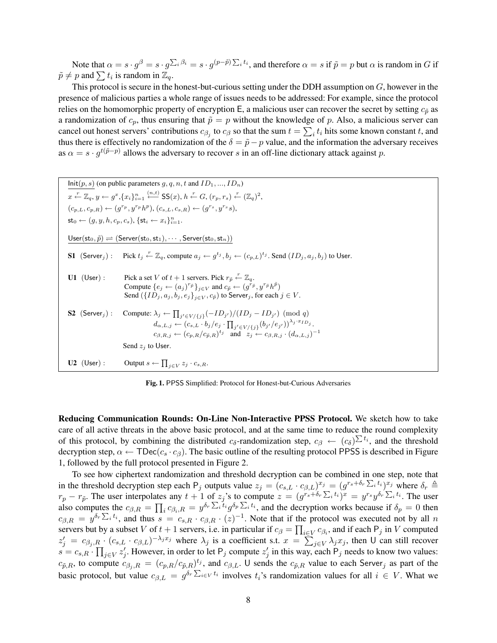Note that  $\alpha = s \cdot g^{\beta} = s \cdot g^{\sum_i \beta_i} = s \cdot g^{(p-\tilde{p})\sum_i t_i}$ , and therefore  $\alpha = s$  if  $\tilde{p} = p$  but  $\alpha$  is random in G if  $\tilde{p} \neq p$  and  $\sum t_i$  is random in  $\mathbb{Z}_q$ .

This protocol is secure in the honest-but-curious setting under the DDH assumption on  $G$ , however in the presence of malicious parties a whole range of issues needs to be addressed: For example, since the protocol relies on the homomorphic property of encryption E, a malicious user can recover the secret by setting  $c_{\tilde{p}}$  as a randomization of  $c_p$ , thus ensuring that  $\tilde{p} = p$  without the knowledge of p. Also, a malicious server can cancel out honest servers' contributions  $c_{\beta_j}$  to  $c_\beta$  so that the sum  $t = \sum_i t_i$  hits some known constant  $t$ , and thus there is effectively no randomization of the  $\delta = \tilde{p} - p$  value, and the information the adversary receives as  $\alpha = s \cdot g^{t(\tilde{p}-p)}$  allows the adversary to recover s in an off-line dictionary attack against p.

 $Init(p, s)$  (on public parameters  $g, q, n, t$  and  $ID_1, ..., ID_n$ )  $x \stackrel{r}{\leftarrow} \mathbb{Z}_q, y \leftarrow g^x, \{x_i\}_{i=1}^n \stackrel{(n,t)}{\leftarrow} \mathsf{SS}(x), h \stackrel{r}{\leftarrow} G, (r_p, r_s) \stackrel{r}{\leftarrow} (\mathbb{Z}_q)^2,$  $(c_{p,L}, c_{p,R}) \leftarrow (g^{r_p}, y^{r_p} h^p), (c_{s,L}, c_{s,R}) \leftarrow (g^{r_s}, y^{r_s} s),$  $\mathsf{st}_0 \leftarrow (g, y, h, c_p, c_s), \{\mathsf{st}_i \leftarrow x_i\}_{i=1}^n.$  $\mathsf{User}(\mathsf{st}_0, \tilde{p}) \rightleftharpoons (\mathsf{Server}(\mathsf{st}_0, \mathsf{st}_1), \cdots, \mathsf{Server}(\mathsf{st}_0, \mathsf{st}_n))$ S1  $(Server_j)$ : Pick  $t_j \stackrel{r}{\leftarrow} \mathbb{Z}_q$ , compute  $a_j \leftarrow g^{t_j}, b_j \leftarrow (c_{p,L})^{t_j}$ . Send  $(ID_j, a_j, b_j)$  to User. U1 (User) : Pick a set V of  $t + 1$  servers. Pick  $r_{\tilde{p}} \stackrel{r}{\leftarrow} \mathbb{Z}_q$ . Compute  $\{e_j \leftarrow (a_j)^{r_{\tilde{p}}}\}_{j \in V}$  and  $c_{\tilde{p}} \leftarrow (g^{r_{\tilde{p}}}, y^{r_{\tilde{p}}}h^{\tilde{p}})$ Send  $({ID_j, a_j, b_j, e_j}_{i \in V}, c_{\tilde{p}})$  to Server<sub>j</sub>, for each  $j \in V$ . **S2** (Server<sub>j</sub>): Compute:  $\lambda_j \leftarrow \prod_{j' \in V / \{j\}} (-ID_{j'})/(ID_j - ID_{j'}) \pmod{q}$  $d_{\alpha,L,j} \leftarrow \left(c_{s,L} \cdot b_j/e_j \cdot \prod_{j' \in V/\{j\}} (b_{j'}/e_{j'}) \right)^{\lambda_j \cdot x_{ID_j}}.$  $c_{\beta,R,j} \leftarrow (c_{p,R}/c_{\tilde{p},R})^{t_j}$  and  $z_j \leftarrow c_{\beta,R,j} \cdot (d_{\alpha,L,j})^{-1}$ Send  $z_i$  to User. U2 (User): Output  $s \leftarrow \prod_{j \in V} z_j \cdot c_{s,R}$ .

Fig. 1. PPSS Simplified: Protocol for Honest-but-Curious Adversaries

Reducing Communication Rounds: On-Line Non-Interactive PPSS Protocol. We sketch how to take care of all active threats in the above basic protocol, and at the same time to reduce the round complexity of this protocol, by combining the distributed  $c_{\delta}$ -randomization step,  $c_{\beta} \leftarrow (c_{\delta})^{\sum t_i}$ , and the threshold decryption step,  $\alpha \leftarrow \text{TDec}(c_s \cdot c_\beta)$ . The basic outline of the resulting protocol PPSS is described in Figure 1, followed by the full protocol presented in Figure 2.

To see how ciphertext randomization and threshold decryption can be combined in one step, note that in the threshold decryption step each  $P_j$  outputs value  $z_j = (c_{s,L} \cdot c_{\beta,L})^{x_j} = (g^{r_s+\delta_r \sum_i t_i})^{x_j}$  where  $\delta_r \triangleq$  $r_p - r_{\tilde{p}}$ . The user interpolates any  $t + 1$  of  $z_j$ 's to compute  $z = (g^{r_s + \delta_r \sum_i t_i})^x = y^{r_s} y^{\delta_r \sum_i t_i}$ . The user also computes the  $c_{\beta,R} = \prod_i c_{\beta_i,R} = y^{\delta_r \sum_i \overline{t_i}} g^{\delta_p \sum_i t_i}$ , and the decryption works because if  $\delta_p = 0$  then  $c_{\beta,R} = y^{\delta_r \sum_i t_i}$ , and thus  $s = c_{s,R} \cdot c_{\beta,R} \cdot (z)^{-1}$ . Note that if the protocol was executed not by all n servers but by a subset V of  $t+1$  servers, i.e. in particular if  $c_\beta = \prod_{i \in V} c_{\beta_i}$ , and if each  $\mathsf{P}_j$  in V computed  $z'_j = c_{\beta_j,R} \cdot (c_{s,L} \cdot c_{\beta,L})^{-\lambda_j x_j}$  where  $\lambda_j$  is a coefficient s.t.  $x = \sum_{j \in V} \lambda_j x_j$ , then U can still recover  $s = c_{s,R} \cdot \prod_{j \in V} z'_j$ . However, in order to let P<sub>j</sub> compute  $z'_j$  in this way, each P<sub>j</sub> needs to know two values:  $c_{\tilde{p},R}$ , to compute  $c_{\beta_j,R} = (c_{p,R}/c_{\tilde{p},R})^{t_j}$ , and  $c_{\beta,L}$ . U sends the  $c_{\tilde{p},R}$  value to each Server<sub>j</sub> as part of the basic protocol, but value  $c_{\beta,L} = g^{\delta_r \sum_{i \in V} t_i}$  involves  $t_i$ 's randomization values for all  $i \in V$ . What we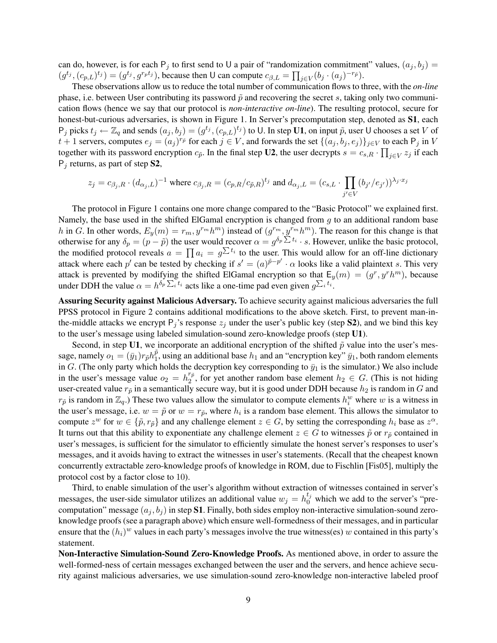can do, however, is for each  $P_i$  to first send to U a pair of "randomization commitment" values,  $(a_i, b_j)$  =  $(g^{t_j}, (c_{p,L})^{t_j}) = (g^{t_j}, g^{r_p t_j})$ , because then U can compute  $c_{\beta,L} = \prod_{j \in V} (b_j \cdot (a_j)^{-r_{\vec{p}}}).$ 

These observations allow us to reduce the total number of communication flows to three, with the *on-line* phase, i.e. between User contributing its password  $\tilde{p}$  and recovering the secret s, taking only two communication flows (hence we say that our protocol is *non-interactive on-line*). The resulting protocol, secure for honest-but-curious adversaries, is shown in Figure 1. In Server's precomputation step, denoted as S1, each  $P_j$  picks  $t_j \leftarrow \mathbb{Z}_q$  and sends  $(a_j, b_j) = (g^{t_j}, (c_{p,L})^{t_j})$  to U. In step U1, on input  $\tilde{p}$ , user U chooses a set V of  $t+1$  servers, computes  $e_j = (a_j)^{r_{\tilde{p}}}$  for each  $j \in V$ , and forwards the set  $\{(a_j, b_j, e_j)\}_{j \in V}$  to each  $\mathsf{P}_j$  in V together with its password encryption  $c_{\tilde{p}}$ . In the final step U2, the user decrypts  $s = c_{s,R} \cdot \prod_{j \in V} z_j$  if each  $P_i$  returns, as part of step **S2**,

$$
z_j = c_{\beta_j,R} \cdot (d_{\alpha_j,L})^{-1} \text{ where } c_{\beta_j,R} = (c_{p,R}/c_{\tilde{p},R})^{t_j} \text{ and } d_{\alpha_j,L} = (c_{s,L} \cdot \prod_{j' \in V} (b_{j'}/e_{j'})^{\lambda_j \cdot x_j}
$$

The protocol in Figure 1 contains one more change compared to the "Basic Protocol" we explained first. Namely, the base used in the shifted ElGamal encryption is changed from  $q$  to an additional random base h in G. In other words,  $E_y(m) = r_m$ ,  $y^{r_m} h^m$ ) instead of  $(g^{r_m}, y^{r_m} h^m)$ . The reason for this change is that otherwise for any  $\delta_p = (p - \tilde{p})$  the user would recover  $\alpha = g^{\delta_p \sum t_i} \cdot s$ . However, unlike the basic protocol, the modified protocol reveals  $a = \prod a_i = g^{\sum t_i}$  to the user. This would allow for an off-line dictionary attack where each p' can be tested by checking if  $s' = (a)^{\tilde{p}-p'} \cdot \alpha$  looks like a valid plaintext s. This very attack is prevented by modifying the shifted ElGamal encryption so that  $E_y(m) = (g^r, y^r h^m)$ , because under DDH the value  $\alpha = h^{\delta_p \sum_i t_i}$  acts like a one-time pad even given  $g^{\sum_i t_i}$ .

Assuring Security against Malicious Adversary. To achieve security against malicious adversaries the full PPSS protocol in Figure 2 contains additional modifications to the above sketch. First, to prevent man-inthe-middle attacks we encrypt  $P_j$ 's response  $z_j$  under the user's public key (step **S2**), and we bind this key to the user's message using labeled simulation-sound zero-knowledge proofs (step U1).

Second, in step U1, we incorporate an additional encryption of the shifted  $\tilde{p}$  value into the user's message, namely  $o_1 = (\bar{y}_1) r_{\tilde{p}} h_1^{\tilde{p}}$  $_1^p$ , using an additional base  $h_1$  and an "encryption key"  $\bar{y}_1$ , both random elements in G. (The only party which holds the decryption key corresponding to  $\bar{y}_1$  is the simulator.) We also include in the user's message value  $o_2 = h_2^{r_{\tilde{p}}}$  $\binom{p}{2}$ , for yet another random base element  $h_2 \in G$ . (This is not hiding user-created value  $r_{\tilde{p}}$  in a semantically secure way, but it is good under DDH because  $h_2$  is random in G and  $r_{\tilde{p}}$  is random in  $\mathbb{Z}_q$ .) These two values allow the simulator to compute elements  $h_i^w$  where w is a witness in the user's message, i.e.  $w = \tilde{p}$  or  $w = r_{\tilde{p}}$ , where  $h_i$  is a random base element. This allows the simulator to compute  $z^w$  for  $w \in {\{\tilde{p}, r_{\tilde{p}}\}}$  and any challenge element  $z \in G$ , by setting the corresponding  $h_i$  base as  $z^{\alpha}$ . It turns out that this ability to exponentiate any challenge element  $z \in G$  to witnesses  $\tilde{p}$  or  $r_{\tilde{p}}$  contained in user's messages, is sufficient for the simulator to efficiently simulate the honest server's responses to user's messages, and it avoids having to extract the witnesses in user's statements. (Recall that the cheapest known concurrently extractable zero-knowledge proofs of knowledge in ROM, due to Fischlin [Fis05], multiply the protocol cost by a factor close to 10).

Third, to enable simulation of the user's algorithm without extraction of witnesses contained in server's messages, the user-side simulator utilizes an additional value  $w_j = h_0^{t_j}$  which we add to the server's "precomputation" message  $(a_i, b_i)$  in step S1. Finally, both sides employ non-interactive simulation-sound zeroknowledge proofs (see a paragraph above) which ensure well-formedness of their messages, and in particular ensure that the  $(h_i)^w$  values in each party's messages involve the true witness(es) w contained in this party's statement.

Non-Interactive Simulation-Sound Zero-Knowledge Proofs. As mentioned above, in order to assure the well-formed-ness of certain messages exchanged between the user and the servers, and hence achieve security against malicious adversaries, we use simulation-sound zero-knowledge non-interactive labeled proof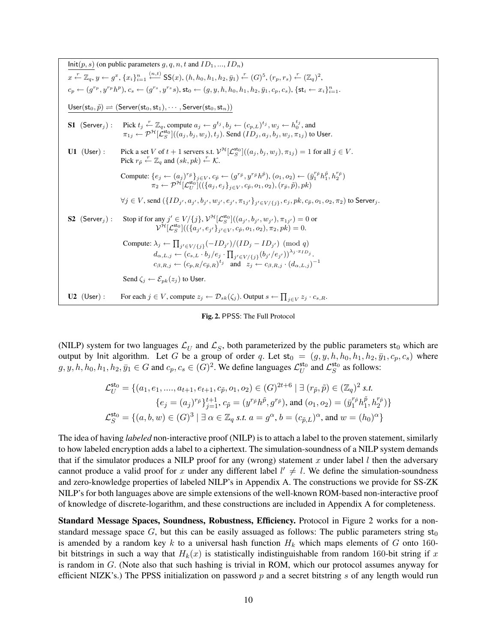$Init(p, s)$  (on public parameters  $g, q, n, t$  and  $ID_1, ..., ID_n$ )  $x \stackrel{r}{\leftarrow} \mathbb{Z}_q, y \leftarrow g^x, \{x_i\}_{i=1}^n \stackrel{(n,t)}{\leftarrow} \mathsf{SS}(x), (h,h_0,h_1,h_2,\bar{y}_1) \stackrel{r}{\leftarrow} (G)^5, (r_p,r_s) \stackrel{r}{\leftarrow} (\mathbb{Z}_q)^2,$  $c_p \leftarrow (g^{r_p}, y^{r_p}h^p), c_s \leftarrow (g^{r_s}, y^{r_s}s), \text{st}_0 \leftarrow (g, y, h, h_0, h_1, h_2, \bar{y}_1, c_p, c_s), \{\textsf{st}_i \leftarrow x_i\}_{i=1}^n.$  $\mathsf{User}(\mathsf{st}_0, \tilde{p}) \rightleftharpoons (\mathsf{Server}(\mathsf{st}_0, \mathsf{st}_1), \cdots, \mathsf{Server}(\mathsf{st}_0, \mathsf{st}_n))$ **S1**  $(\textsf{Server}_j)$ : Pick  $t_j \stackrel{r}{\leftarrow} \mathbb{Z}_q$ , compute  $a_j \leftarrow g^{t_j}, b_j \leftarrow (c_{p,L})^{t_j}, w_j \leftarrow h_0^{t_j}$ , and  $\pi_{1j}\gets \mathcal{P}^{\mathcal{H}}[\mathcal{L}_{S}^{\mathsf{sto}}]((a_j,b_j,w_j),t_j).$  Send  $(ID_j,a_j,b_j,w_j,\pi_{1j})$  to User. **U1** (User): Pick a set V of  $t + 1$  servers s.t.  $\mathcal{V}^{\mathcal{H}}[\mathcal{L}_{S}^{\mathsf{sto}}]((a_j, b_j, w_j), \pi_{1j}) = 1$  for all  $j \in V$ . Pick  $r_{\tilde{p}} \stackrel{r}{\leftarrow} \mathbb{Z}_q$  and  $(sk, pk) \stackrel{r}{\leftarrow} \mathcal{K}$ . Compute:  $\{e_j \leftarrow (a_j)^{r_{\bar{p}}}\}_{j \in V}, c_{\tilde{p}} \leftarrow (g^{r_{\tilde{p}}}, y^{r_{\tilde{p}}}h^{\tilde{p}}), (o_1, o_2) \leftarrow (\bar{y}_1^{r_{\tilde{p}}}h_1^{\tilde{p}}, h_2^{r_{\tilde{p}}})$  $\pi_2 \leftarrow \mathcal{P}^{\mathcal{H}}[\mathcal{L}_U^{\mathsf{sto}}]((\{a_j, e_j\}_{j \in V}, c_{\widetilde{p}}, o_1, o_2), (r_{\widetilde{p}}, \widetilde{p}), \mathit{pk})$  $\forall j \in V$ , send  $(\{ {ID}_{j'}, a_{j'}, b_{j'}, w_{j'}, e_{j'}, \pi_{1j'} \}_{j' \in V / \{j\}}, e_j, pk, c_{\tilde{p}}, o_1, o_2, \pi_2)$  to Server $_j$ . S2 (Server<sub>j</sub>): Stop if for any  $j' \in V \setminus \{j\}$ ,  $\mathcal{V}^{\mathcal{H}}[\mathcal{L}_S^{\mathsf{st}_0}]((a_{j'}, b_{j'}, w_{j'}), \pi_{1j'}) = 0$  or  $\mathcal{V}^{\mathcal{H}}[\mathcal{L}_{S}^{\mathsf{sto}}]((\{a_{j'}, e_{j'}\}_{j' \in V}, c_{\tilde{p}}, o_1, o_2), \pi_2, pk) = 0.$ Compute:  $\lambda_j \leftarrow \prod_{j' \in V / \{j\}} (-ID_{j'})/(ID_j - ID_{j'}) \pmod{q}$  $d_{\alpha,L,j} \leftarrow \left(c_{s,L} \cdot b_j/e_j \cdot \prod_{j' \in V/\{j\}} (b_{j'}/e_{j'}) \right)^{\lambda_j \cdot x_{ID_j}}.$  $c_{\beta,R,j} \leftarrow (c_{p,R}/c_{\tilde{p},R})^{t_j}$  and  $z_j \leftarrow c_{\beta,R,j} \cdot (d_{\alpha,L,j})^{-1}$ Send  $\zeta_i \leftarrow \mathcal{E}_{pk}(z_i)$  to User. U2 (User): For each  $j \in V$ , compute  $z_j \leftarrow \mathcal{D}_{sk}(\zeta_j)$ . Output  $s \leftarrow \prod_{j \in V} z_j \cdot c_{s,R}$ .

Fig. 2. PPSS: The Full Protocol

(NILP) system for two languages  $\mathcal{L}_U$  and  $\mathcal{L}_S$ , both parameterized by the public parameters st<sub>0</sub> which are output by Init algorithm. Let G be a group of order q. Let  $st_0 = (g, y, h, h_0, h_1, h_2, \bar{y}_1, c_p, c_s)$  where  $g, y, h, h_0, h_1, h_2, \bar{y}_1 \in G$  and  $c_p, c_s \in (G)^2$ . We define languages  $\mathcal{L}_U^{\text{sto}}$  and  $\mathcal{L}_S^{\text{sto}}$  as follows:

$$
\mathcal{L}_U^{\text{st}_0} = \{ (a_1, e_1, \dots, a_{t+1}, e_{t+1}, c_{\tilde{p}}, o_1, o_2) \in (G)^{2t+6} \mid \exists (r_{\tilde{p}}, \tilde{p}) \in (\mathbb{Z}_q)^2 \text{ s.t.}
$$
  
\n
$$
\{ e_j = (a_j)^{r_{\tilde{p}}} \}_{j=1}^{t+1}, c_{\tilde{p}} = (y^{r_{\tilde{p}}} h^{\tilde{p}}, g^{r_{\tilde{p}}}), \text{ and } (o_1, o_2) = (\bar{y}_1^{r_{\tilde{p}}} h_1^{\tilde{p}}, h_2^{r_{\tilde{p}}}) \}
$$
  
\n
$$
\mathcal{L}_S^{\text{st}_0} = \{ (a, b, w) \in (G)^3 \mid \exists \alpha \in \mathbb{Z}_q \text{ s.t. } a = g^{\alpha}, b = (c_{\tilde{p},L})^{\alpha}, \text{ and } w = (h_0)^{\alpha} \}
$$

The idea of having *labeled* non-interactive proof (NILP) is to attach a label to the proven statement, similarly to how labeled encryption adds a label to a ciphertext. The simulation-soundness of a NILP system demands that if the simulator produces a NILP proof for any (wrong) statement x under label  $l$  then the adversary cannot produce a valid proof for x under any different label  $l' \neq l$ . We define the simulation-soundness and zero-knowledge properties of labeled NILP's in Appendix A. The constructions we provide for SS-ZK NILP's for both languages above are simple extensions of the well-known ROM-based non-interactive proof of knowledge of discrete-logarithm, and these constructions are included in Appendix A for completeness.

Standard Message Spaces, Soundness, Robustness, Efficiency. Protocol in Figure 2 works for a nonstandard message space G, but this can be easily assuaged as follows: The public parameters string  $st_0$ is amended by a random key k to a universal hash function  $H_k$  which maps elements of G onto 160bit bitstrings in such a way that  $H_k(x)$  is statistically indistinguishable from random 160-bit string if x is random in G. (Note also that such hashing is trivial in ROM, which our protocol assumes anyway for efficient NIZK's.) The PPSS initialization on password  $p$  and a secret bitstring s of any length would run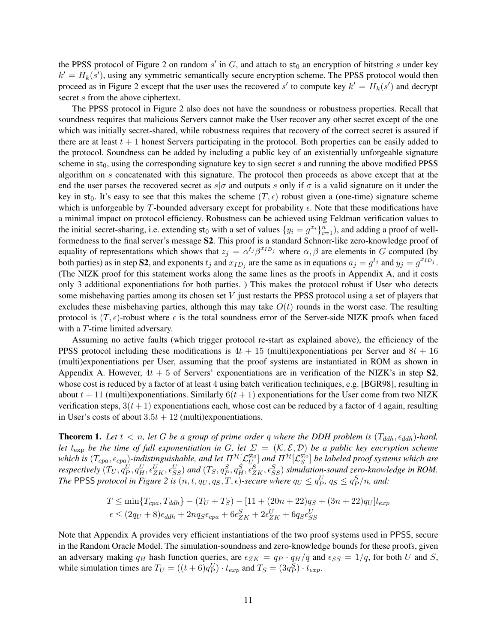the PPSS protocol of Figure 2 on random  $s'$  in  $G$ , and attach to  $st_0$  an encryption of bitstring s under key  $k' = H_k(s')$ , using any symmetric semantically secure encryption scheme. The PPSS protocol would then proceed as in Figure 2 except that the user uses the recovered s' to compute key  $k' = H_k(s')$  and decrypt secret s from the above ciphertext.

The PPSS protocol in Figure 2 also does not have the soundness or robustness properties. Recall that soundness requires that malicious Servers cannot make the User recover any other secret except of the one which was initially secret-shared, while robustness requires that recovery of the correct secret is assured if there are at least  $t + 1$  honest Servers participating in the protocol. Both properties can be easily added to the protocol. Soundness can be added by including a public key of an existentially unforgeable signature scheme in  $st_0$ , using the corresponding signature key to sign secret s and running the above modified PPSS algorithm on s concatenated with this signature. The protocol then proceeds as above except that at the end the user parses the recovered secret as  $s|\sigma$  and outputs s only if  $\sigma$  is a valid signature on it under the key in st<sub>0</sub>. It's easy to see that this makes the scheme  $(T, \epsilon)$  robust given a (one-time) signature scheme which is unforgeable by T-bounded adversary except for probability  $\epsilon$ . Note that these modifications have a minimal impact on protocol efficiency. Robustness can be achieved using Feldman verification values to the initial secret-sharing, i.e. extending  $st_0$  with a set of values  $\{y_i = g^{x_i}\}_{i=1}^n$ , and adding a proof of wellformedness to the final server's message S2. This proof is a standard Schnorr-like zero-knowledge proof of equality of representations which shows that  $z_j = \alpha^{t_j} \beta^{x_{ID_j}}$  where  $\alpha, \beta$  are elements in G computed (by both parties) as in step S2, and exponents  $t_j$  and  $x_{ID_j}$  are the same as in equations  $a_j = g^{t_j}$  and  $y_j = g^{x_{ID_j}}$ . (The NIZK proof for this statement works along the same lines as the proofs in Appendix A, and it costs only 3 additional exponentiations for both parties. ) This makes the protocol robust if User who detects some misbehaving parties among its chosen set V just restarts the PPSS protocol using a set of players that excludes these misbehaving parties, although this may take  $O(t)$  rounds in the worst case. The resulting protocol is  $(T, \epsilon)$ -robust where  $\epsilon$  is the total soundness error of the Server-side NIZK proofs when faced with a T-time limited adversary.

Assuming no active faults (which trigger protocol re-start as explained above), the efficiency of the PPSS protocol including these modifications is  $4t + 15$  (multi)exponentiations per Server and  $8t + 16$ (multi)exponentiations per User, assuming that the proof systems are instantiated in ROM as shown in Appendix A. However,  $4t + 5$  of Servers' exponentiations are in verification of the NIZK's in step **S2**, whose cost is reduced by a factor of at least 4 using batch verification techniques, e.g. [BGR98], resulting in about  $t + 11$  (multi)exponentiations. Similarly  $6(t + 1)$  exponentiations for the User come from two NIZK verification steps,  $3(t + 1)$  exponentiations each, whose cost can be reduced by a factor of 4 again, resulting in User's costs of about  $3.5t + 12$  (multi)exponentiations.

**Theorem 1.** Let  $t < n$ , let G be a group of prime order q where the DDH problem is  $(T_{ddh}, \epsilon_{ddh})$ -hard, *let*  $t_{\exp}$  *be the time of full exponentiation in* G, let  $\Sigma = (K, \mathcal{E}, \mathcal{D})$  *be a public key encryption scheme* which is  $(T_{cpa}, \epsilon_{cpa})$ -indistinguishable, and let  $\varPi^\mathcal{H}[\mathcal{L}_{U_a}^{\mathsf{sto}}]$  and  $\Pi^\mathcal{H}[\mathcal{L}_S^{\mathsf{sto}}]$  be labeled proof systems which are  $r$ espectively  $(T_U, q_P^U, q_H^U, \epsilon_{ZK}^U, \epsilon_{SS}^U)$  and  $(T_S, q_P^S, q_H^S, \epsilon_{ZK}^S, \epsilon_{SS}^S)$  simulation-sound zero-knowledge in ROM. *The* PPSS *protocol in Figure 2 is*  $(n, t, q_U, q_S, T, \epsilon)$ -secure where  $q_U \le q_P^U$ ,  $q_S \le q_P^S/n$ , and:

$$
T \le \min\{T_{cpa}, T_{ddh}\} - (T_U + T_S) - [11 + (20n + 22)q_S + (3n + 22)q_U]t_{exp}
$$
  

$$
\epsilon \le (2q_U + 8)\epsilon_{ddh} + 2nq_S\epsilon_{cpa} + 6\epsilon_{ZK}^S + 2\epsilon_{ZK}^U + 6q_S\epsilon_{SS}^U
$$

Note that Appendix A provides very efficient instantiations of the two proof systems used in PPSS, secure in the Random Oracle Model. The simulation-soundness and zero-knowledge bounds for these proofs, given an adversary making  $q_H$  hash function queries, are  $\epsilon_{ZK} = q_P \cdot q_H/q$  and  $\epsilon_{SS} = 1/q$ , for both U and S, while simulation times are  $T_U = ((t+6)q_P^U) \cdot t_{exp}$  and  $T_S = (3q_P^S) \cdot t_{exp}$ .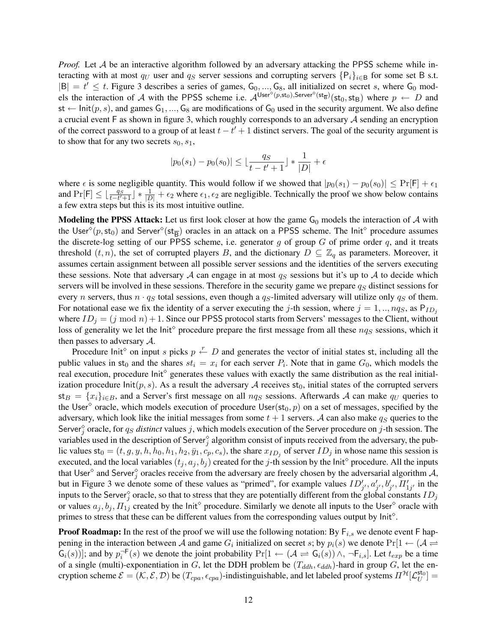*Proof.* Let A be an interactive algorithm followed by an adversary attacking the PPSS scheme while interacting with at most  $q_U$  user and  $q_S$  server sessions and corrupting servers  $\{P_i\}_{i\in B}$  for some set B s.t.  $|B| = t' \leq t$ . Figure 3 describes a series of games,  $G_0, ..., G_8$ , all initialized on secret s, where  $G_0$  models the interaction of A with the PPSS scheme i.e.  $\mathcal{A}^{\text{User}^{\diamond}(p, \text{st}_0), \text{Server}^{\diamond}(\text{st}_B)}(\text{st}_0, \text{st}_B)$  where  $p \leftarrow D$  and st  $\leftarrow$  Init $(p, s)$ , and games  $G_1, ..., G_8$  are modifications of  $G_0$  used in the security argument. We also define a crucial event  $F$  as shown in figure 3, which roughly corresponds to an adversary  $A$  sending an encryption of the correct password to a group of at least  $t - t' + 1$  distinct servers. The goal of the security argument is to show that for any two secrets  $s_0, s_1$ ,

$$
|p_0(s_1) - p_0(s_0)| \le \lfloor \frac{qs}{t - t' + 1} \rfloor * \frac{1}{|D|} + \epsilon
$$

where  $\epsilon$  is some negligible quantity. This would follow if we showed that  $|p_0(s_1) - p_0(s_0)| \leq Pr[F] + \epsilon_1$ and  $Pr[F] \leq \lfloor \frac{q_S}{t-t'+1} \rfloor * \frac{1}{|D|} + \epsilon_2$  where  $\epsilon_1, \epsilon_2$  are negligible. Technically the proof we show below contains a few extra steps but this is its most intuitive outline.

**Modeling the PPSS Attack:** Let us first look closer at how the game  $G_0$  models the interaction of A with the User<sup> $\circ$ </sup>( $p$ ,  $st_0$ ) and Server<sup> $\circ$ </sup>( $st_{\overline{B}}$ ) oracles in an attack on a PPSS scheme. The Init<sup> $\circ$ </sup> procedure assumes the discrete-log setting of our PPSS scheme, i.e. generator g of group  $G$  of prime order  $q$ , and it treats threshold  $(t, n)$ , the set of corrupted players B, and the dictionary  $D \subseteq \mathbb{Z}_q$  as parameters. Moreover, it assumes certain assignment between all possible server sessions and the identities of the servers executing these sessions. Note that adversary A can engage in at most  $q<sub>S</sub>$  sessions but it's up to A to decide which servers will be involved in these sessions. Therefore in the security game we prepare  $q<sub>S</sub>$  distinct sessions for every n servers, thus  $n \cdot q_S$  total sessions, even though a  $q_S$ -limited adversary will utilize only  $q_S$  of them. For notational ease we fix the identity of a server executing the j-th session, where  $j = 1, ..., nq<sub>S</sub>$ , as  $P_{ID_j}$ where  $ID_j = (j \mod n) + 1$ . Since our PPSS protocol starts from Servers' messages to the Client, without loss of generality we let the lnit<sup> $\circ$ </sup> procedure prepare the first message from all these  $nq_s$  sessions, which it then passes to adversary  $\mathcal{A}$ .

Procedure Init<sup>o</sup> on input s picks  $p \stackrel{r}{\leftarrow} D$  and generates the vector of initial states st, including all the public values in st<sub>0</sub> and the shares  $st_i = x_i$  for each server  $P_i$ . Note that in game  $G_0$ , which models the real execution, procedure lnit<sup>o</sup> generates these values with exactly the same distribution as the real initialization procedure  $\text{Init}(p, s)$ . As a result the adversary A receives  $\mathfrak{st}_0$ , initial states of the corrupted servers  $\mathsf{st}_B = \{x_i\}_{i \in B}$ , and a Server's first message on all  $nq_S$  sessions. Afterwards A can make  $q_U$  queries to the User<sup> $\circ$ </sup> oracle, which models execution of procedure User(st<sub>0</sub>, p) on a set of messages, specified by the adversary, which look like the initial messages from some  $t + 1$  servers. A can also make  $q_S$  queries to the Server<sup> $\hat{y}$ </sup> oracle, for  $q_s$  *distinct* values j, which models execution of the Server procedure on j-th session. The variables used in the description of Server<sup> $\hat{y}$ </sup> algorithm consist of inputs received from the adversary, the public values  $st_0 = (t, g, y, h, h_0, h_1, h_2, \bar{y}_1, c_p, c_s)$ , the share  $x_{ID_j}$  of server  $ID_j$  in whose name this session is executed, and the local variables  $(t_j, a_j, b_j)$  created for the j-th session by the lnit<sup>o</sup> procedure. All the inputs that User<sup> $\circ$ </sup> and Server $\frac{\circ}{j}$  oracles receive from the adversary are freely chosen by the adversarial algorithm A, but in Figure 3 we denote some of these values as "primed", for example values  $ID'_{j'}, a'_{j'}, B'_{j'}, \Pi'_{1j'}$  in the inputs to the Server<sup> $\circ$ </sup> oracle, so that to stress that they are potentially different from the global constants  $ID_j$ or values  $a_j, b_j, \Pi_{1j}$  created by the lnit<sup>o</sup> procedure. Similarly we denote all inputs to the User<sup>o</sup> oracle with primes to stress that these can be different values from the corresponding values output by lnit<sup>o</sup>.

**Proof Roadmap:** In the rest of the proof we will use the following notation: By  $F_{i,s}$  we denote event  $F$  happening in the interaction between A and game  $G_i$  initialized on secret s; by  $p_i(s)$  we denote  $Pr[1 \leftarrow (\mathcal{A} \right]$  $G_i(s)$ ]; and by  $p_i^{-\mathsf{F}}(s)$  we denote the joint probability  $Pr[1 \leftarrow (\mathcal{A} \rightleftarrows G_i(s)) \wedge, \neg \mathsf{F}_{i,s}]$ . Let  $t_{exp}$  be a time of a single (multi)-exponentiation in G, let the DDH problem be  $(T_{ddh}, \epsilon_{ddh})$ -hard in group G, let the encryption scheme  $\mathcal{E} = (\mathcal{K}, \mathcal{E}, \mathcal{D})$  be  $(T_{cpa}, \epsilon_{cpa})$ -indistinguishable, and let labeled proof systems  $\Pi^{\mathcal{H}}[\mathcal{L}_U^{\mathsf{sto}}] =$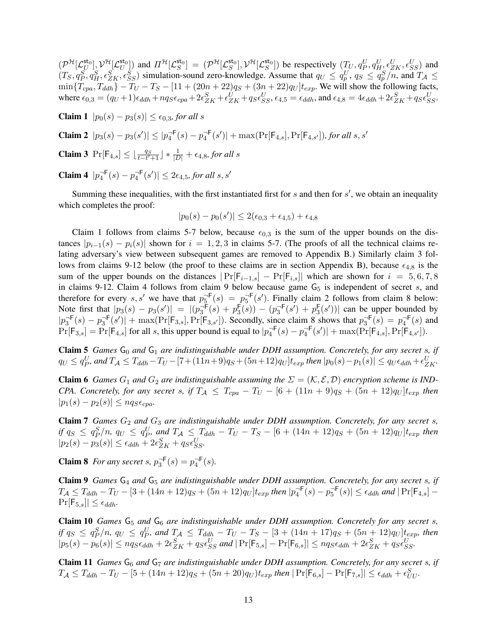$(\mathcal{P}^{\mathcal{H}}[\mathcal{L}_U^{\text{sto}}], \mathcal{V}^{\mathcal{H}}[\mathcal{L}_U^{\text{sto}}]$  and  $\Pi^{\mathcal{H}}[\mathcal{L}_S^{\text{sto}}] = (\mathcal{P}^{\mathcal{H}}[\mathcal{L}_S^{\text{sto}}]), \mathcal{V}^{\mathcal{H}}[\mathcal{L}_S^{\text{sto}}])$  be respectively  $(T_U, q_P^U, q_H^U, \epsilon_{ZK}^U, \epsilon_{SS}^U)$  and  $(T_S, q_P^S, q_H^S, \epsilon_{ZK}^S, \epsilon_{SS}^S)$  simulation-sound zero-knowledge. Assume that  $q_U \le q_p^U, q_S \le q_p^S/n$ , and  $T_A \le$  $\min\{T_{cpa}, T_{ddh}\} - T_U - T_S - [11 + (20n + 22)q_S + (3n + 22)q_U]t_{exp}$ . We will show the following facts, where  $\epsilon_{0,3} = (q_U+1)\epsilon_{ddh} + nq_S\epsilon_{cpa} + 2\epsilon_{ZK}^S + \epsilon_{ZK}^U + q_S\epsilon_{SS}^U$ ,  $\epsilon_{4,5} = \epsilon_{ddh}$ , and  $\epsilon_{4,8} = 4\epsilon_{ddh} + 2\epsilon_{ZK}^S + q_S\epsilon_{SS}^U$ .

**Claim 1**  $|p_0(s) - p_3(s)| \le \epsilon_{0,3}$ , for all s

**Claim 2**  $|p_3(s) - p_3(s')|$  ≤  $|p_4^{-F}(s) - p_4^{-F}(s')|$  + max(Pr[F<sub>4,s</sub>], Pr[F<sub>4,s'</sub>]), for all s, s'

**Claim 3** Pr[ $\mathsf{F}_{4,s}$ ] ≤  $\lfloor \frac{q_s}{t-t'+1} \rfloor * \frac{1}{|D|} + \epsilon_{4,8}$ , for all s

**Claim 4**  $|p_4^{-F}(s) - p_4^{-F}(s')| \le 2\epsilon_{4,5}$ , for all s, s'

Summing these inequalities, with the first instantiated first for  $s$  and then for  $s'$ , we obtain an inequality which completes the proof:

$$
|p_0(s) - p_0(s')| \le 2(\epsilon_{0,3} + \epsilon_{4,5}) + \epsilon_{4,8}
$$

Claim 1 follows from claims 5-7 below, because  $\epsilon_{0,3}$  is the sum of the upper bounds on the distances  $|p_{i-1}(s) - p_i(s)|$  shown for  $i = 1, 2, 3$  in claims 5-7. (The proofs of all the technical claims relating adversary's view between subsequent games are removed to Appendix B.) Similarly claim 3 follows from claims 9-12 below (the proof to these claims are in section Appendix B), because  $\epsilon_{4,8}$  is the sum of the upper bounds on the distances  $|\Pr[F_{i-1,s}] - \Pr[F_{i,s}]|$  which are shown for  $i = 5, 6, 7, 8$ in claims 9-12. Claim 4 follows from claim 9 below because game  $G<sub>5</sub>$  is independent of secret s, and therefore for every s, s' we have that  $p_5^{-F}(s) = p_5^{-F}(s')$ . Finally claim 2 follows from claim 8 below: Note first that  $|p_3(s) - p_3(s')| = |(p_3^{\text{-F}}(s) + p_3^{\text{F}}(s)) - (p_3^{\text{-F}}(s') + p_3^{\text{F}}(s'))|$  can be upper bounded by  $|p_3^{\text{--F}}(s) - p_3^{\text{--F}}(s')| + \max(\Pr[F_{3,s}], \Pr[F_{3,s'}])$ . Secondly, since claim 8 shows that  $p_3^{\text{--F}}(s) = p_4^{\text{--F}}(s)$  and  $Pr[F_{3,s}] = Pr[F_{4,s}]$  for all s, this upper bound is equal to  $|p_4^{\neg F}(s) - p_4^{\neg F}(s')| + \max(Pr[F_{4,s}], Pr[F_{4,s'}]).$ 

**Claim 5** *Games*  $G_0$  *and*  $G_1$  *are indistinguishable under DDH assumption. Concretely, for any secret s, if*  $q_U ≤ q_P^U$ , and  $T_A ≤ T_{ddh} - T_U - [7 + (11n + 9)q_S + (5n + 12)q_U]t_{exp}$  then  $|p_0(s) - p_1(s)| ≤ q_U \epsilon_{ddh} + \epsilon_{ZK}^U$ .

**Claim 6** *Games*  $G_1$  *and*  $G_2$  *are indistinguishable assuming the*  $\Sigma = (\mathcal{K}, \mathcal{E}, \mathcal{D})$  *encryption scheme is IND-CPA. Concretely, for any secret s, if*  $T_A \leq T_{cpa} - T_U - [6 + (11n + 9)q_S + (5n + 12)q_U]t_{exp}$  *then*  $|p_1(s) - p_2(s)| \leq n q_S \epsilon_{cpa}$ .

Claim 7 *Games*  $G_2$  *and*  $G_3$  *are indistinguishable under DDH assumption. Concretely, for any secret s, if*  $q_S \leq q_P^S/n$ ,  $q_U \leq q_P^U$ , and  $T_{\mathcal{A}} \leq T_{ddh} - T_U - T_S - [6 + (14n + 12)q_S + (5n + 12)q_U]t_{exp}$  then  $|p_2(s) - p_3(s)| \leq \epsilon_{ddh} + 2\epsilon_{ZK}^S + q_S \epsilon_{SS}^U$ .

**Claim 8** *For any secret s,*  $p_3^{\text{-F}}(s) = p_4^{\text{-F}}(s)$ *.* 

Claim 9 *Games* G<sup>4</sup> *and* G<sup>5</sup> *are indistinguishable under DDH assumption. Concretely, for any secret* s*, if*  $T_{\mathcal{A}} \leq T_{ddh} - T_U - [3 + (14n + 12)q_S + (5n + 12)q_U]t_{exp}$  then  $|p_4^{-F}(s) - p_5^{-F}(s)| \leq \epsilon_{ddh}$  and  $|\Pr[F_{4,s}] \Pr[\mathsf{F}_{5,s}] \leq \epsilon_{ddh}.$ 

Claim 10 *Games* G<sup>5</sup> *and* G<sup>6</sup> *are indistinguishable under DDH assumption. Concretely for any secret* s*, if*  $q_S \leq q_P^S/n$ ,  $q_U \leq q_P^U$ , and  $T_{\mathcal{A}} \leq T_{ddh} - T_U - T_S - [3 + (14n + 17)q_S + (5n + 12)q_U]t_{exp}$ , then  $|p_5(s) - p_6(s)| \leq nqs\epsilon_{ddh} + 2\epsilon_{ZK}^S + q_S\epsilon_{SS}^U$  and  $|\Pr[\mathsf{F}_{5,s}] - \Pr[\mathsf{F}_{6,s}]| \leq nqs\epsilon_{ddh} + 2\epsilon_{ZK}^S + q_S\epsilon_{SS}^U$ .

Claim 11 *Games* G<sup>6</sup> *and* G<sup>7</sup> *are indistinguishable under DDH assumption. Concretely, for any secret* s*, if*  $T_{\mathcal{A}} \leq T_{ddh} - T_U - [5 + (14n + 12)q_S + (5n + 20)q_U)t_{exp}$  then  $|\Pr[\mathsf{F}_{6,s}] - \Pr[\mathsf{F}_{7,s}]| \leq \epsilon_{ddh} + \epsilon_{UU}^S$ .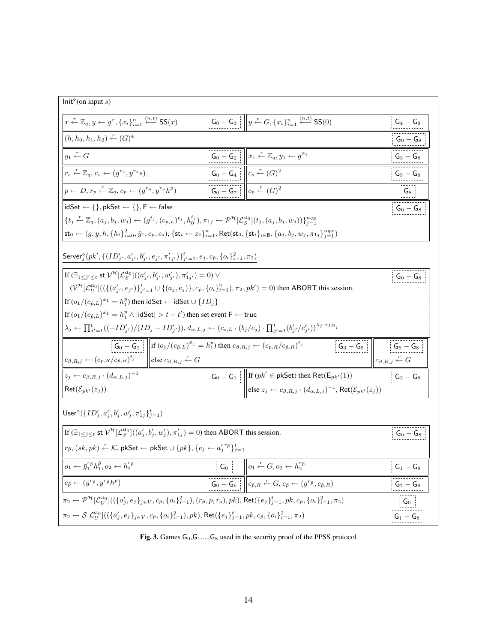| Init <sup>°</sup> (on input s)                                                                                                                                                                                                                                                                                                                                                                                                                                                                                                                                                                                                                    |                |                                                                                                                                                                                                                                                                                                                                      |                                                                                                                                                |  |
|---------------------------------------------------------------------------------------------------------------------------------------------------------------------------------------------------------------------------------------------------------------------------------------------------------------------------------------------------------------------------------------------------------------------------------------------------------------------------------------------------------------------------------------------------------------------------------------------------------------------------------------------------|----------------|--------------------------------------------------------------------------------------------------------------------------------------------------------------------------------------------------------------------------------------------------------------------------------------------------------------------------------------|------------------------------------------------------------------------------------------------------------------------------------------------|--|
| $x \stackrel{r}{\leftarrow} \mathbb{Z}_q, y \leftarrow g^x, \{x_i\}_{i=1}^n \stackrel{(n,t)}{\leftarrow} \mathsf{SS}(x)$                                                                                                                                                                                                                                                                                                                                                                                                                                                                                                                          |                | $\boxed{ \begin{array}{c} G_0 - G_3 \end{array} }$ $\parallel y \stackrel{r}{\leftarrow} G, \{x_i\}_{i=1}^n \stackrel{(n,t)}{\leftarrow}$ SS(0)                                                                                                                                                                                      | $\mathsf{G}_4-\mathsf{G}_8$                                                                                                                    |  |
| $(h, h_0, h_1, h_2) \stackrel{r}{\leftarrow} (G)^4$                                                                                                                                                                                                                                                                                                                                                                                                                                                                                                                                                                                               |                |                                                                                                                                                                                                                                                                                                                                      | $\mathsf{G_0}-\mathsf{G_8}$                                                                                                                    |  |
| $\bar{y}_1 \leftarrow G$                                                                                                                                                                                                                                                                                                                                                                                                                                                                                                                                                                                                                          |                |                                                                                                                                                                                                                                                                                                                                      | $G_3 - G_8$                                                                                                                                    |  |
| $r_s \stackrel{r}{\leftarrow} \mathbb{Z}_q, c_s \leftarrow (g^{r_s}, y^{r_s}s)$                                                                                                                                                                                                                                                                                                                                                                                                                                                                                                                                                                   |                | $\begin{array}{ c c } \hline \hline \mathsf{G}_0-\mathsf{G}_2&\overline{\bar{x}_1\stackrel{r}{\leftarrow}\mathbb{Z}_q,\bar{y}_1\leftarrow g^{\bar{x}_1}}\\ \hline \hline \mathsf{G}_0-\mathsf{G}_4&c_s\stackrel{r}{\leftarrow}(G)^2\\ \hline \hline \mathsf{G}_0-\mathsf{G}_7&c_p\stackrel{r}{\leftarrow}(G)^2\\ \hline \end{array}$ | $\begin{array}{ c c } \hline \hline \, {\sf G}_5 - {\sf G}_8 \hline \hline \, & \quad \, \hline \end{array}$                                   |  |
| $p \leftarrow D, r_p \stackrel{r}{\leftarrow} \mathbb{Z}_q, c_p \leftarrow (g^{r_p}, y^{r_p}h^p)$                                                                                                                                                                                                                                                                                                                                                                                                                                                                                                                                                 |                |                                                                                                                                                                                                                                                                                                                                      | $\begin{tabular}{ c c } \hline \quad G_8 & \quad \\ \hline \hline \quad G_9 & \quad \\ \hline \quad G_0 - G_8 & \quad \\ \hline \end{tabular}$ |  |
| $idSet \leftarrow \{\}, pkSet \leftarrow \{\}, F \leftarrow false$                                                                                                                                                                                                                                                                                                                                                                                                                                                                                                                                                                                |                |                                                                                                                                                                                                                                                                                                                                      |                                                                                                                                                |  |
| ${t_i \stackrel{r}{\leftarrow} \mathbb{Z}_q, (a_i, b_i, w_j) \leftarrow (g^{t_j}, (c_{p,L})^{t_j}, h_0^{t_j}), \pi_{1j} \leftarrow \mathcal{P}^{\mathcal{H}}[\mathcal{L}_S^{\mathsf{sto}}](t_j, (a_j, b_j, w_j))\}_{i=1}^{ng}}$                                                                                                                                                                                                                                                                                                                                                                                                                   |                |                                                                                                                                                                                                                                                                                                                                      |                                                                                                                                                |  |
| $\mathsf{st}_0 \leftarrow (g, y, h, \{h_i\}_{i=0}^2, \bar{y}_1, c_p, c_s), \{\mathsf{st}_i \leftarrow x_i\}_{i=1}^n, \mathsf{Ret}(\mathsf{st}_0, \{\mathsf{st}_i\}_{i \in \mathsf{B}}, \{a_j, b_j, w_j, \pi_{1j}\}_{j=1}^{ng_S})$                                                                                                                                                                                                                                                                                                                                                                                                                 |                |                                                                                                                                                                                                                                                                                                                                      |                                                                                                                                                |  |
| Server ${}_{j}^{\diamond}(pk', \{(ID'_{j'}, a'_{j'}, b'_{j'}, e_{j'}, \pi'_{1j'})\}_{j'=1}^t, e_j, c_{\tilde{p}}, \{o_i\}_{i=1}^2, \pi_2)$                                                                                                                                                                                                                                                                                                                                                                                                                                                                                                        |                |                                                                                                                                                                                                                                                                                                                                      |                                                                                                                                                |  |
| If $(\exists_{1 \leq j' \leq t}$ st $\mathcal{V}^{\mathcal{H}}[\mathcal{L}_{S}^{\mathsf{sto}}]((a'_{j'}, b'_{j'}, w'_{j'}), \pi'_{1j'}) = 0) \vee$<br>$G_0 - G_8$                                                                                                                                                                                                                                                                                                                                                                                                                                                                                 |                |                                                                                                                                                                                                                                                                                                                                      |                                                                                                                                                |  |
| $(\mathcal{V}^{\mathcal{H}}[\mathcal{L}_U^{\mathsf{st}_0}]((\{(a'_{i'}, e_{j'})\}_{j'=1}^t \cup \{(a_j, e_j)\}, c_{\tilde{p}}, \{o_i\}_{i=1}^2), \pi_2, pk') = 0)$ then ABORT this session.                                                                                                                                                                                                                                                                                                                                                                                                                                                       |                |                                                                                                                                                                                                                                                                                                                                      |                                                                                                                                                |  |
| If $(o_1/(c_{\tilde{p},L})^{\bar{x}_1} = h_1^p)$ then idSet $\leftarrow$ idSet $\cup \{ID_j\}$                                                                                                                                                                                                                                                                                                                                                                                                                                                                                                                                                    |                |                                                                                                                                                                                                                                                                                                                                      |                                                                                                                                                |  |
| If $(o_1/(c_{\tilde{p},L})^{\bar{x}_1} = h_1^p \wedge  idSet  > t - t'$ then set event $F \leftarrow true$                                                                                                                                                                                                                                                                                                                                                                                                                                                                                                                                        |                |                                                                                                                                                                                                                                                                                                                                      |                                                                                                                                                |  |
| $\lambda_j \leftarrow \prod_{j'=1}^t ((-ID'_{j'})/(ID_j - ID'_{j'})), d_{\alpha,L,j} \leftarrow (c_{s,L} \cdot (b_j/e_j) \cdot \prod_{i'=1}^t (b'_{j'}/e'_{j'})\right)^{\lambda_j \cdot x_{ID_j}}$                                                                                                                                                                                                                                                                                                                                                                                                                                                |                |                                                                                                                                                                                                                                                                                                                                      |                                                                                                                                                |  |
| $\begin{array}{ c c } \hline \hline \rule[-165000sp]{0pt}{13.5cm} \rule[-165000sp]{0pt}{13.5cm} & \rule[-165000sp]{0pt}{13.5cm} \rule[-165000sp]{0pt}{13.5cm} & \rule[-1650000sp]{0pt}{13.5cm} \rule[-1650000sp]{0pt}{13.5cm} & \rule[-1650000sp]{0pt}{13.5cm} \rule[-1650000sp]{0pt}{13.5cm} & \rule[-1650000sp]{0pt}{13.5cm} \rule[-1650000sp]{0pt$<br>$\ \mathbf{G}_0 - \mathbf{G}_2\  \ \mathbf{if} (o_1/(c_{\tilde{p},L})^{\bar{x}_1} = h_1^p) \text{ then } c_{\beta,R,j} \leftarrow (c_{p,R}/c_{\tilde{p},R})^{t_j}$<br>$c_{\beta,R,j} \leftarrow (c_{p,R}/c_{\tilde{p},R})^{t_j}$<br>$\left\Vert \text{else }c_{\beta,R,j}\right\Vert -G$ |                |                                                                                                                                                                                                                                                                                                                                      |                                                                                                                                                |  |
| $z_i \leftarrow c_{\beta,R,i} \cdot (d_{\alpha,L,i})^{-1}$                                                                                                                                                                                                                                                                                                                                                                                                                                                                                                                                                                                        |                |                                                                                                                                                                                                                                                                                                                                      |                                                                                                                                                |  |
| $\mathsf{Ret}(\mathcal{E}_{pk'}(z_j))$                                                                                                                                                                                                                                                                                                                                                                                                                                                                                                                                                                                                            |                | $\boxed{\begin{bmatrix} \mathsf{G}_0 - \mathsf{G}_1 \\ \hline \end{bmatrix}}$ If $(pk' \in \mathsf{pkSet})$ then $\mathsf{Ret}(\mathsf{E}_{pk'}(1))$<br>else $z_j \leftarrow c_{\beta,R,j} \cdot (d_{\alpha,L,j})^{-1}$ , $\mathsf{Ret}(\mathcal{E}_{pk'}(z_j))$                                                                     |                                                                                                                                                |  |
| User <sup><math>\diamond</math></sup> ({ $ID'_j, a'_j, b'_j, w'_j, \pi'_{1j}$ } $_{j=1}^t$ )                                                                                                                                                                                                                                                                                                                                                                                                                                                                                                                                                      |                |                                                                                                                                                                                                                                                                                                                                      |                                                                                                                                                |  |
| If $(\exists_{1 \leq j \leq t}$ st $V^{\mathcal{H}}[\mathcal{L}_S^{\mathsf{sto}}]((a'_j, b'_j, w'_j), \pi'_{1j}) = 0)$ then ABORT this session.                                                                                                                                                                                                                                                                                                                                                                                                                                                                                                   |                |                                                                                                                                                                                                                                                                                                                                      | $\left\lfloor \mathsf{G}_{0}-\mathsf{G}_{8}\right\rfloor$                                                                                      |  |
| $r_{\tilde{p}}, (sk, pk) \overset{r}{\leftarrow} \mathcal{K}$ , pkSet $\leftarrow$ pkSet $\cup \{pk\}$ , $\{e_j \leftarrow a'^{r_{\tilde{p}}}_j\}_{j=1}^t$                                                                                                                                                                                                                                                                                                                                                                                                                                                                                        |                |                                                                                                                                                                                                                                                                                                                                      |                                                                                                                                                |  |
| $o_1 \leftarrow \bar{y}_1^{r_{\tilde{p}}} h_1^{\tilde{p}}, o_2 \leftarrow h_2^{r_{\tilde{p}}}$                                                                                                                                                                                                                                                                                                                                                                                                                                                                                                                                                    | $\mathsf{G}_0$ | $\phi_1 \stackrel{r}{\leftarrow} G, o_2 \leftarrow h_2^{r_{\tilde{p}}}$                                                                                                                                                                                                                                                              | $G_1-G_8$                                                                                                                                      |  |
| $c_{\tilde{p}} \leftarrow (g^{r_{\tilde{p}}}, y^{r_{\tilde{p}}}h^p)$                                                                                                                                                                                                                                                                                                                                                                                                                                                                                                                                                                              |                | $\overline{\left\ \mathsf{G}_{0}-\mathsf{G}_{6}\right\ }\left\ c_{\tilde{p},R}\right\ G_{0}-q_{6}\right\ }$                                                                                                                                                                                                                          | $G_7 - G_8$                                                                                                                                    |  |
| $\pi_2 \leftarrow \mathcal{P}^{\mathcal{H}}[\mathcal{L}_U^{\mathsf{st}_0}]((\{a'_j, e_j\}_{j \in V}, c_{\tilde{p}}, \{o_i\}_{i=1}^2), (r_{\tilde{p}}, p, r_o), pk), \mathsf{Ret}(\{e_j\}_{j=1}^t, pk, c_{\tilde{p}}, \{o_i\}_{i=1}^2, \pi_2)$<br>$\mathsf{G}_0$                                                                                                                                                                                                                                                                                                                                                                                   |                |                                                                                                                                                                                                                                                                                                                                      |                                                                                                                                                |  |
| $\pi_2 \leftarrow \mathcal{S}[\mathcal{L}_U^{\mathsf{st}_0}]((\{a_j',e_j\}_{j \in V},c_{\tilde{p}},\{o_i\}_{i=1}^2),pk), \mathsf{Ret}(\{e_j\}_{j=1}^t,pk,c_{\tilde{p}},\{o_i\}_{i=1}^2,\pi_2)$                                                                                                                                                                                                                                                                                                                                                                                                                                                    |                |                                                                                                                                                                                                                                                                                                                                      | $G_1-G_8$                                                                                                                                      |  |

Fig. 3. Games  $G_0, G_1, \ldots, G_8$  used in the security proof of the PPSS protocol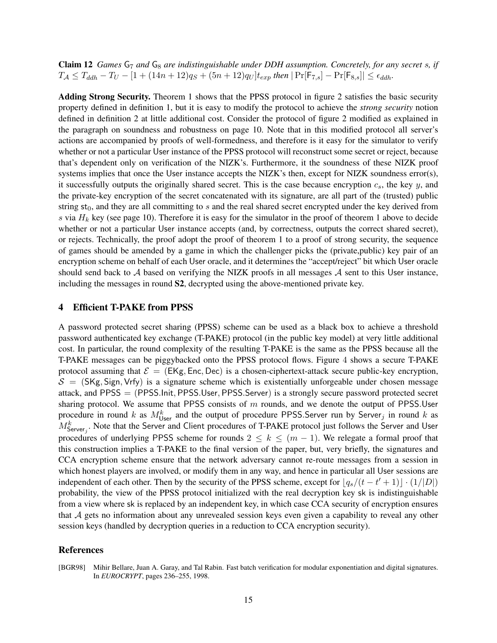**Claim 12** *Games*  $G_7$  *and*  $G_8$  *are indistinguishable under DDH assumption. Concretely, for any secret s, if*  $T_A \leq T_{ddh} - T_U - [1 + (14n + 12)q_S + (5n + 12)q_U]t_{exp}$  then  $|\Pr[F_{7,s}] - \Pr[F_{8,s}]| \leq \epsilon_{ddh}$ .

Adding Strong Security. Theorem 1 shows that the PPSS protocol in figure 2 satisfies the basic security property defined in definition 1, but it is easy to modify the protocol to achieve the *strong security* notion defined in definition 2 at little additional cost. Consider the protocol of figure 2 modified as explained in the paragraph on soundness and robustness on page 10. Note that in this modified protocol all server's actions are accompanied by proofs of well-formedness, and therefore is it easy for the simulator to verify whether or not a particular User instance of the PPSS protocol will reconstruct some secret or reject, because that's dependent only on verification of the NIZK's. Furthermore, it the soundness of these NIZK proof systems implies that once the User instance accepts the NIZK's then, except for NIZK soundness error(s), it successfully outputs the originally shared secret. This is the case because encryption  $c_s$ , the key y, and the private-key encryption of the secret concatenated with its signature, are all part of the (trusted) public string  $st<sub>0</sub>$ , and they are all committing to s and the real shared secret encrypted under the key derived from s via  $H_k$  key (see page 10). Therefore it is easy for the simulator in the proof of theorem 1 above to decide whether or not a particular User instance accepts (and, by correctness, outputs the correct shared secret), or rejects. Technically, the proof adopt the proof of theorem 1 to a proof of strong security, the sequence of games should be amended by a game in which the challenger picks the (private,public) key pair of an encryption scheme on behalf of each User oracle, and it determines the "accept/reject" bit which User oracle should send back to  $A$  based on verifying the NIZK proofs in all messages  $A$  sent to this User instance, including the messages in round S2, decrypted using the above-mentioned private key.

## 4 Efficient T-PAKE from PPSS

A password protected secret sharing (PPSS) scheme can be used as a black box to achieve a threshold password authenticated key exchange (T-PAKE) protocol (in the public key model) at very little additional cost. In particular, the round complexity of the resulting T-PAKE is the same as the PPSS because all the T-PAKE messages can be piggybacked onto the PPSS protocol flows. Figure 4 shows a secure T-PAKE protocol assuming that  $\mathcal{E} = (EKg, Enc, Dec)$  is a chosen-ciphertext-attack secure public-key encryption,  $S = (SKg, Sign, Vrfy)$  is a signature scheme which is existentially unforgeable under chosen message attack, and PPSS = (PPSS.Init, PPSS.User, PPSS.Server) is a strongly secure password protected secret sharing protocol. We assume that PPSS consists of  $m$  rounds, and we denote the output of PPSS.User procedure in round k as  $M_{\text{User}}^k$  and the output of procedure PPSS. Server run by Server<sub>j</sub> in round k as  $M_{\text{Server}_j}^k$ . Note that the Server and Client procedures of T-PAKE protocol just follows the Server and User procedures of underlying PPSS scheme for rounds  $2 \leq k \leq (m-1)$ . We relegate a formal proof that this construction implies a T-PAKE to the final version of the paper, but, very briefly, the signatures and CCA encryption scheme ensure that the network adversary cannot re-route messages from a session in which honest players are involved, or modify them in any way, and hence in particular all User sessions are independent of each other. Then by the security of the PPSS scheme, except for  $\lfloor q_s/(t - t' + 1)\rfloor \cdot (1/|D|)$ probability, the view of the PPSS protocol initialized with the real decryption key sk is indistinguishable from a view where sk is replaced by an independent key, in which case CCA security of encryption ensures that A gets no information about any unrevealed session keys even given a capability to reveal any other session keys (handled by decryption queries in a reduction to CCA encryption security).

## References

[BGR98] Mihir Bellare, Juan A. Garay, and Tal Rabin. Fast batch verification for modular exponentiation and digital signatures. In *EUROCRYPT*, pages 236–255, 1998.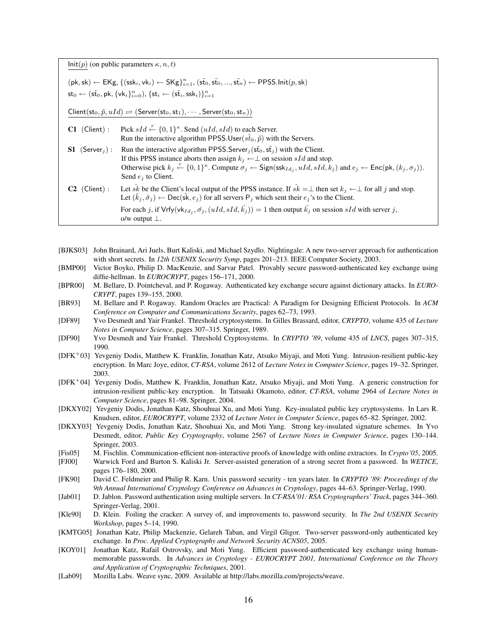Init(p) (on public parameters  $\kappa$ ,  $n$ , t)

| $(\mathsf{pk},\mathsf{sk}) \leftarrow \mathsf{EKg}, \{(\mathsf{ssk}_i,\mathsf{vk}_i) \leftarrow \mathsf{SKg}\}_{i=1}^n, (\mathsf{s}\tilde{t}_0,\mathsf{s}\tilde{t}_0,,\mathsf{s}\tilde{t}_n) \leftarrow \mathsf{PPSS}.\mathsf{Init}(p,\mathsf{sk})$ |  |
|-----------------------------------------------------------------------------------------------------------------------------------------------------------------------------------------------------------------------------------------------------|--|
| $\mathsf{st}_0 \leftarrow (\tilde{\mathsf{st}_0}, \mathsf{pk}, \{\mathsf{vk}_i\}_{i=0}^n), \{\mathsf{st}_i \leftarrow (\tilde{\mathsf{st}_i}, \mathsf{ssk}_i)\}_{i=1}^n$                                                                            |  |

 $\mathsf{Client}(\mathsf{st}_0, \tilde{p}, uId) \rightleftharpoons (\mathsf{Server}(\mathsf{st}_0, \mathsf{st}_1), \cdots, \mathsf{Server}(\mathsf{st}_0, \mathsf{st}_n))$ 

| $C1$ (Client):               | Pick $sId \xleftarrow{r} \{0,1\}^{\kappa}$ . Send $(uId, sId)$ to each Server.<br>Run the interactive algorithm PPSS.User( $s\tilde{t}_0$ , $\tilde{p}$ ) with the Servers.                                                                                                                                                                                                                                         |
|------------------------------|---------------------------------------------------------------------------------------------------------------------------------------------------------------------------------------------------------------------------------------------------------------------------------------------------------------------------------------------------------------------------------------------------------------------|
| $S1$ (Server <sub>i</sub> ): | Run the interactive algorithm PPSS.Server <sub>i</sub> ( $s\tilde{t}_0$ , $s\tilde{t}_i$ ) with the Client.<br>If this PPSS instance aborts then assign $k_i \leftarrow \perp$ on session sId and stop.<br>Otherwise pick $k_j \leftarrow \{0,1\}^{\kappa}$ . Compute $\sigma_j \leftarrow$ Sign(ssk $_{Id_j}$ , $uId$ , $sId$ , $k_j$ ) and $e_j \leftarrow$ Enc(pk, $(k_j, \sigma_j)$ ).<br>Send $e_i$ to Client. |
| $C2$ (Client):               | Let $\hat{s}k$ be the Client's local output of the PPSS instance. If $\hat{s}k = \perp$ then set $k_i \leftarrow \perp$ for all j and stop.<br>Let $(\hat{k}_i, \hat{\sigma}_i) \leftarrow \text{Dec}(\hat{\textsf{sk}}, e_i)$ for all servers $P_i$ which sent their $e_j$ 's to the Client.                                                                                                                       |
|                              | For each j, if $Vrfy(vk_{Id_i}, \hat{\sigma}_j, (uId, sId, \hat{k}_j)) = 1$ then output $\hat{k}_j$ on session sId with server j,<br>o/w output $\perp$ .                                                                                                                                                                                                                                                           |

- [BJKS03] John Brainard, Ari Juels, Burt Kaliski, and Michael Szydlo. Nightingale: A new two-server approach for authentication with short secrets. In *12th USENIX Security Symp*, pages 201–213. IEEE Computer Society, 2003.
- [BMP00] Victor Boyko, Philip D. MacKenzie, and Sarvar Patel. Provably secure password-authenticated key exchange using diffie-hellman. In *EUROCRYPT*, pages 156–171, 2000.
- [BPR00] M. Bellare, D. Pointcheval, and P. Rogaway. Authenticated key exchange secure against dictionary attacks. In *EURO-CRYPT*, pages 139–155, 2000.
- [BR93] M. Bellare and P. Rogaway. Random Oracles are Practical: A Paradigm for Designing Efficient Protocols. In *ACM Conference on Computer and Communications Security*, pages 62–73, 1993.
- [DF89] Yvo Desmedt and Yair Frankel. Threshold cryptosystems. In Gilles Brassard, editor, *CRYPTO*, volume 435 of *Lecture Notes in Computer Science*, pages 307–315. Springer, 1989.
- [DF90] Yvo Desmedt and Yair Frankel. Threshold Cryptosystems. In *CRYPTO '89*, volume 435 of *LNCS*, pages 307–315, 1990.
- [DFK<sup>+</sup>03] Yevgeniy Dodis, Matthew K. Franklin, Jonathan Katz, Atsuko Miyaji, and Moti Yung. Intrusion-resilient public-key encryption. In Marc Joye, editor, *CT-RSA*, volume 2612 of *Lecture Notes in Computer Science*, pages 19–32. Springer, 2003.
- [DFK<sup>+</sup>04] Yevgeniy Dodis, Matthew K. Franklin, Jonathan Katz, Atsuko Miyaji, and Moti Yung. A generic construction for intrusion-resilient public-key encryption. In Tatsuaki Okamoto, editor, *CT-RSA*, volume 2964 of *Lecture Notes in Computer Science*, pages 81–98. Springer, 2004.
- [DKXY02] Yevgeniy Dodis, Jonathan Katz, Shouhuai Xu, and Moti Yung. Key-insulated public key cryptosystems. In Lars R. Knudsen, editor, *EUROCRYPT*, volume 2332 of *Lecture Notes in Computer Science*, pages 65–82. Springer, 2002.
- [DKXY03] Yevgeniy Dodis, Jonathan Katz, Shouhuai Xu, and Moti Yung. Strong key-insulated signature schemes. In Yvo Desmedt, editor, *Public Key Cryptography*, volume 2567 of *Lecture Notes in Computer Science*, pages 130–144. Springer, 2003.
- [Fis05] M. Fischlin. Communication-efficient non-interactive proofs of knowledge with online extractors. In *Crypto'05*, 2005. [FJ00] Warwick Ford and Burton S. Kaliski Jr. Server-assisted generation of a strong secret from a password. In *WETICE*, pages 176–180, 2000.
- [FK90] David C. Feldmeier and Philip R. Karn. Unix password security ten years later. In *CRYPTO '89: Proceedings of the 9th Annual International Cryptology Conference on Advances in Cryptology*, pages 44–63. Springer-Verlag, 1990.
- [Jab01] D. Jablon. Password authentication using multiple servers. In *CT-RSA'01: RSA Cryptographers' Track*, pages 344–360. Springer-Verlag, 2001.
- [Kle90] D. Klein. Foiling the cracker: A survey of, and improvements to, password security. In *The 2nd USENIX Security Workshop*, pages 5–14, 1990.
- [KMTG05] Jonathan Katz, Philip Mackenzie, Gelareh Taban, and Virgil Gligor. Two-server password-only authenticated key exchange. In *Proc. Applied Cryptography and Network Security ACNS05*, 2005.
- [KOY01] Jonathan Katz, Rafail Ostrovsky, and Moti Yung. Efficient password-authenticated key exchange using humanmemorable passwords. In *Advances in Cryptology - EUROCRYPT 2001, International Conference on the Theory and Application of Cryptographic Techniques*, 2001.
- [Lab09] Mozilla Labs. Weave sync, 2009. Available at http://labs.mozilla.com/projects/weave.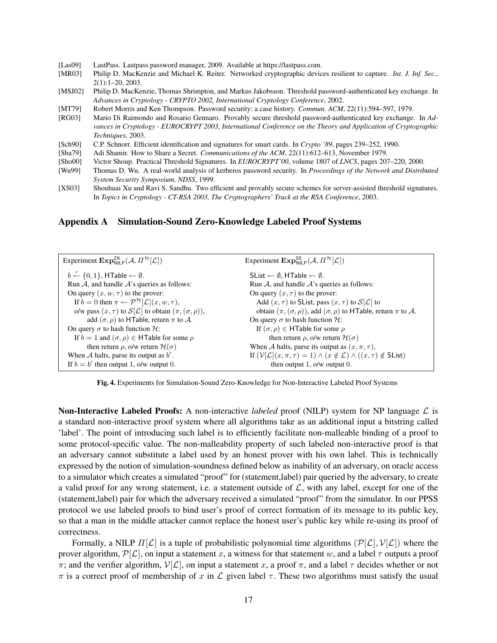- [Las09] LastPass. Lastpass password manager, 2009. Available at https://lastpass.com.
- [MR03] Philip D. MacKenzie and Michael K. Reiter. Networked cryptographic devices resilient to capture. *Int. J. Inf. Sec.*, 2(1):1–20, 2003.
- [MSJ02] Philip D. MacKenzie, Thomas Shrimpton, and Markus Jakobsson. Threshold password-authenticated key exchange. In *Advances in Cryptology - CRYPTO 2002, International Cryptology Conference*, 2002.
- [MT79] Robert Morris and Ken Thompson. Password security: a case history. *Commun. ACM*, 22(11):594–597, 1979.
- [RG03] Mario Di Raimondo and Rosario Gennaro. Provably secure threshold password-authenticated key exchange. In *Advances in Cryptology - EUROCRYPT 2003, International Conference on the Theory and Application of Cryptographic Techniques*, 2003.
- [Sch90] C.P. Schnorr. Efficient identification and signatures for smart cards. In *Crypto '89*, pages 239–252, 1990.
- [Sha79] Adi Shamir. How to Share a Secret. *Communications of the ACM*, 22(11):612–613, November 1979.
- [Sho00] Victor Shoup. Practical Threshold Signatures. In *EUROCRYPT'00*, volume 1807 of *LNCS*, pages 207–220, 2000.
- [Wu99] Thomas D. Wu. A real-world analysis of kerberos password security. In *Proceedings of the Network and Distributed System Security Symposium, NDSS*, 1999.
- [XS03] Shouhuai Xu and Ravi S. Sandhu. Two efficient and provably secure schemes for server-assisted threshold signatures. In *Topics in Cryptology - CT-RSA 2003, The Cryptographers' Track at the RSA Conference*, 2003.

## Appendix A Simulation-Sound Zero-Knowledge Labeled Proof Systems

| Experiment $\mathbf{Exp}_{\text{NILD}}^{\text{ZK}}(\mathcal{A}, \Pi^{\mathcal{H}}[\mathcal{L}])$ | Experiment $\mathbf{Exp}_{\text{NILB}}^{\text{SS}}(\mathcal{A}, \Pi^{\mathcal{H}}[\mathcal{L}])$               |
|--------------------------------------------------------------------------------------------------|----------------------------------------------------------------------------------------------------------------|
| $b \leftarrow \{0, 1\}$ , HTable $\leftarrow \emptyset$ .                                        | SList $\leftarrow \emptyset$ , HTable $\leftarrow \emptyset$ .                                                 |
| Run $A$ , and handle $A$ 's queries as follows:                                                  | Run $A$ , and handle $A$ 's queries as follows:                                                                |
| On query $(x, w, \tau)$ to the prover:                                                           | On query $(x, \tau)$ to the prover:                                                                            |
| If $b = 0$ then $\pi \leftarrow \mathcal{P}^{\mathcal{H}}[\mathcal{L}](x, w, \tau),$             | Add $(x, \tau)$ to SList, pass $(x, \tau)$ to $S[\mathcal{L}]$ to                                              |
| o/w pass $(x, \tau)$ to $\mathcal{S}[\mathcal{L}]$ to obtain $(\pi, (\sigma, \rho)),$            | obtain $(\pi, (\sigma, \rho))$ , add $(\sigma, \rho)$ to HTable, return $\pi$ to A.                            |
| add $(\sigma, \rho)$ to HTable, return $\pi$ to A.                                               | On query $\sigma$ to hash function $\mathcal{H}$ :                                                             |
| On query $\sigma$ to hash function $\mathcal{H}$ :                                               | If $(\sigma, \rho) \in H$ Table for some $\rho$                                                                |
| If $b = 1$ and $(\sigma, \rho) \in \textsf{HTable}$ for some $\rho$                              | then return $\rho$ , o/w return $\mathcal{H}(\sigma)$                                                          |
| then return $\rho$ , o/w return $\mathcal{H}(\sigma)$                                            | When A halts, parse its output as $(x, \pi, \tau)$ ,                                                           |
| When $A$ halts, parse its output as $b'$ .                                                       | If $(V[\mathcal{L}](x, \pi, \tau) = 1) \wedge (x \notin \mathcal{L}) \wedge ((x, \tau) \notin \mathsf{SList})$ |
| If $b = b'$ then output 1, o/w output 0.                                                         | then output 1, $o/w$ output 0.                                                                                 |

Fig. 4. Experiments for Simulation-Sound Zero-Knowledge for Non-Interactive Labeled Proof Systems

**Non-Interactive Labeled Proofs:** A non-interactive *labeled* proof (NILP) system for NP language  $\mathcal{L}$  is a standard non-interactive proof system where all algorithms take as an additional input a bitstring called 'label'. The point of introducing such label is to efficiently facilitate non-malleable binding of a proof to some protocol-specific value. The non-malleability property of such labeled non-interactive proof is that an adversary cannot substitute a label used by an honest prover with his own label. This is technically expressed by the notion of simulation-soundness defined below as inability of an adversary, on oracle access to a simulator which creates a simulated "proof" for (statement,label) pair queried by the adversary, to create a valid proof for any wrong statement, i.e. a statement outside of  $\mathcal{L}$ , with any label, except for one of the (statement,label) pair for which the adversary received a simulated "proof" from the simulator. In our PPSS protocol we use labeled proofs to bind user's proof of correct formation of its message to its public key, so that a man in the middle attacker cannot replace the honest user's public key while re-using its proof of correctness.

Formally, a NILP  $\Pi[\mathcal{L}]$  is a tuple of probabilistic polynomial time algorithms  $(\mathcal{P}[\mathcal{L}], \mathcal{V}[\mathcal{L}])$  where the prover algorithm,  $\mathcal{P}[\mathcal{L}]$ , on input a statement x, a witness for that statement w, and a label  $\tau$  outputs a proof π; and the verifier algorithm,  $V[\mathcal{L}]$ , on input a statement x, a proof π, and a label  $\tau$  decides whether or not  $\pi$  is a correct proof of membership of x in L given label  $\tau$ . These two algorithms must satisfy the usual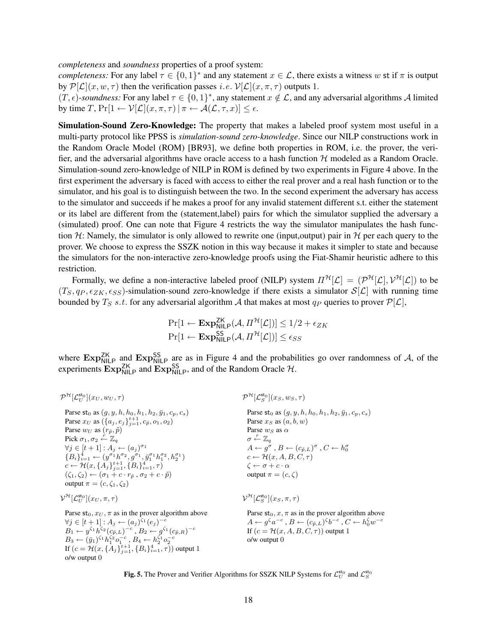*completeness* and *soundness* properties of a proof system:

*completeness:* For any label  $\tau \in \{0,1\}^*$  and any statement  $x \in \mathcal{L}$ , there exists a witness w st if  $\pi$  is output by  $\mathcal{P}[\mathcal{L}](x, w, \tau)$  then the verification passes *i.e.*  $\mathcal{V}[\mathcal{L}](x, \pi, \tau)$  outputs 1.

 $(T, \epsilon)$ -soundness: For any label  $\tau \in \{0, 1\}^*$ , any statement  $x \notin \mathcal{L}$ , and any adversarial algorithms A limited by time  $T$ ,  $Pr[1 \leftarrow \mathcal{V}[\mathcal{L}](x, \pi, \tau) | \pi \leftarrow \mathcal{A}(\mathcal{L}, \tau, x)] \leq \epsilon$ .

Simulation-Sound Zero-Knowledge: The property that makes a labeled proof system most useful in a multi-party protocol like PPSS is *simulation-sound zero-knowledge*. Since our NILP constructions work in the Random Oracle Model (ROM) [BR93], we define both properties in ROM, i.e. the prover, the verifier, and the adversarial algorithms have oracle access to a hash function  $H$  modeled as a Random Oracle. Simulation-sound zero-knowledge of NILP in ROM is defined by two experiments in Figure 4 above. In the first experiment the adversary is faced with access to either the real prover and a real hash function or to the simulator, and his goal is to distinguish between the two. In the second experiment the adversary has access to the simulator and succeeds if he makes a proof for any invalid statement different s.t. either the statement or its label are different from the (statement,label) pairs for which the simulator supplied the adversary a (simulated) proof. One can note that Figure 4 restricts the way the simulator manipulates the hash function H: Namely, the simulator is only allowed to rewrite one (input, output) pair in H per each query to the prover. We choose to express the SSZK notion in this way because it makes it simpler to state and because the simulators for the non-interactive zero-knowledge proofs using the Fiat-Shamir heuristic adhere to this restriction.

Formally, we define a non-interactive labeled proof (NILP) system  $\Pi^{\mathcal{H}}[\mathcal{L}] = (\mathcal{P}^{\mathcal{H}}[\mathcal{L}], \mathcal{V}^{\mathcal{H}}[\mathcal{L}])$  to be  $(T_S, q_P, \epsilon_{ZK}, \epsilon_{SS})$ -simulation-sound zero-knowledge if there exists a simulator  $S[\mathcal{L}]$  with running time bounded by  $T_S$  s.t. for any adversarial algorithm A that makes at most  $q_P$  queries to prover  $\mathcal{P}[\mathcal{L}]$ ,

$$
\Pr[1 \leftarrow \mathbf{Exp}_{\mathsf{NILP}}^{\mathsf{ZK}}(\mathcal{A}, \Pi^{\mathcal{H}}[\mathcal{L}])] \le 1/2 + \epsilon_{ZK}
$$

$$
\Pr[1 \leftarrow \mathbf{Exp}_{\mathsf{NILP}}^{\mathsf{SS}}(\mathcal{A}, \Pi^{\mathcal{H}}[\mathcal{L}])] \le \epsilon_{SS}
$$

where  $Exp_{\text{NILP}}^{\text{ZK}}$  and  $Exp_{\text{NILP}}^{\text{SS}}$  are as in Figure 4 and the probabilities go over randomness of A, of the experiments  $\text{Exp}_{\text{NILP}}^{\text{ZK}}$  and  $\text{Exp}_{\text{NILP}}^{\text{SS}}$ , and of the Random Oracle  $\mathcal{H}$ .

| $\mathcal{P}^\mathcal{H}[\mathcal{L}^{\mathsf{st}_0}_{U}](x_{U},w_{U},\tau)$                                                                                                                                                                                                                                                                                                                                                                                                                                                                                                                                                                               | $\mathcal{P}^{\mathcal{H}}[\mathcal{L}_S^{\mathsf{st}_0}](x_S, w_S, \tau)$                                                                                                                                                                                                                                                                                                                                            |
|------------------------------------------------------------------------------------------------------------------------------------------------------------------------------------------------------------------------------------------------------------------------------------------------------------------------------------------------------------------------------------------------------------------------------------------------------------------------------------------------------------------------------------------------------------------------------------------------------------------------------------------------------------|-----------------------------------------------------------------------------------------------------------------------------------------------------------------------------------------------------------------------------------------------------------------------------------------------------------------------------------------------------------------------------------------------------------------------|
| Parse st <sub>0</sub> as $(q, y, h, h_0, h_1, h_2, \bar{y}_1, c_n, c_s)$<br>Parse $x_U$ as $({a_j, e_j}_{i=1}^{t+1}, c_{\tilde{p}}, o_1, o_2)$<br>Parse $w_U$ as $(r_{\tilde{p}}, \tilde{p})$<br>Pick $\sigma_1, \sigma_2 \leftarrow \mathbb{Z}_q$<br>$\forall i \in [t+1]: A_i \leftarrow (a_i)^{\sigma_1}$<br>${B_i}_{i-1}^4 \leftarrow (y^{\sigma_1} h^{\sigma_2}, g^{\sigma_1}, \bar{y}_1^{\sigma_1} h_1^{\sigma_2}, h_2^{\sigma_1})$<br>$c \leftarrow \mathcal{H}(x, \{A_j\}_{i=1}^{t+1}, \{B_i\}_{i=1}^4, \tau)$<br>$(\zeta_1,\zeta_2) \leftarrow (\sigma_1+c\cdot r_{\tilde{n}},\sigma_2+c\cdot \tilde{p})$<br>output $\pi = (c, \zeta_1, \zeta_2)$ | Parse st <sub>0</sub> as $(g, y, h, h_0, h_1, h_2, \bar{y}_1, c_p, c_s)$<br>Parse $x_S$ as $(a, b, w)$<br>Parse $w_S$ as $\alpha$<br>$\sigma \stackrel{r}{\leftarrow} \mathbb{Z}_q$<br>$A \leftarrow q^{\sigma}$ , $B \leftarrow (c_{\tilde{p},L})^{\sigma}$ , $C \leftarrow h_0^{\sigma}$<br>$c \leftarrow \mathcal{H}(x, A, B, C, \tau)$<br>$\zeta \leftarrow \sigma + c \cdot \alpha$<br>output $\pi = (c, \zeta)$ |
| $\mathcal{V}^{\mathcal{H}}[\mathcal{L}^{\mathsf{st}_0}_{\tau\tau}](x_U,\pi,\tau)$                                                                                                                                                                                                                                                                                                                                                                                                                                                                                                                                                                          | $\mathcal{V}^{\mathcal{H}}[\mathcal{L}_S^{\mathsf{st}_0}](x_S, \pi, \tau)$                                                                                                                                                                                                                                                                                                                                            |
| Parse $st_0, \mathcal{x}_U, \pi$ as in the prover algorithm above<br>$\forall i \in [t+1]: A_i \leftarrow (a_i)^{\zeta_1}(e_i)^{-c}$<br>$B_1 \leftarrow y^{\zeta_1} h^{\zeta_2} (c_{\tilde{p},L})^{-c}, B_2 \leftarrow q^{\zeta_1} (c_{\tilde{p},R})^{-c}$<br>$B_3 \leftarrow (\bar{y}_1)^{\zeta_1} h_1^{\zeta_2} o_1^{-c}, B_4 \leftarrow h_2^{\zeta_1} o_2^{-c}$<br>If $(c = \mathcal{H}(x, \{A_i\}_{i=1}^{t+1}, \{B_i\}_{i=1}^4, \tau))$ output 1<br>$o/w$ output $0$                                                                                                                                                                                   | Parse $st_0, x, \pi$ as in the prover algorithm above<br>$A \leftarrow q^{\zeta} a^{-c}, B \leftarrow (c_{\tilde{p},L})^{\zeta} b^{-c}, C \leftarrow h_0^{\zeta} w^{-c}$<br>If $(c = \mathcal{H}(x, A, B, C, \tau))$ output 1<br>$o/w$ output $0$                                                                                                                                                                     |

Fig. 5. The Prover and Verifier Algorithms for SSZK NILP Systems for  $\mathcal{L}_U^{\mathsf{st}_0}$  and  $\mathcal{L}_S^{\mathsf{st}_0}$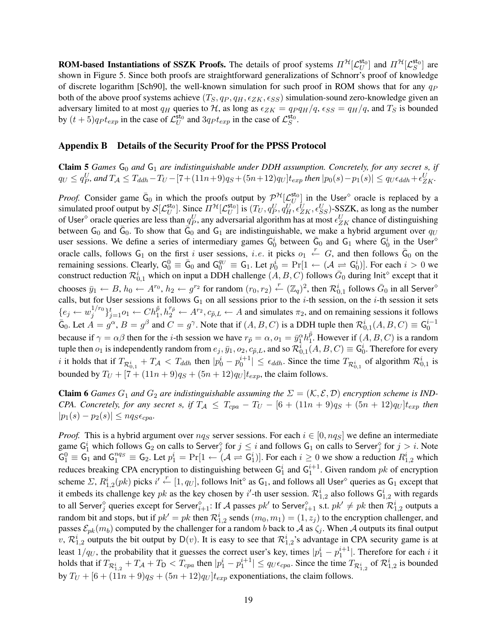**ROM-based Instantiations of SSZK Proofs.** The details of proof systems  $\Pi^{\mathcal{H}}[\mathcal{L}_U^{\mathsf{st}_0}]$  and  $\Pi^{\mathcal{H}}[\mathcal{L}_S^{\mathsf{st}_0}]$  are shown in Figure 5. Since both proofs are straightforward generalizations of Schnorr's proof of knowledge of discrete logarithm [Sch90], the well-known simulation for such proof in ROM shows that for any  $q_P$ both of the above proof systems achieve  $(T_S, q_P, q_H, \epsilon_{ZK}, \epsilon_{SS})$  simulation-sound zero-knowledge given an adversary limited to at most  $q_H$  queries to H, as long as  $\epsilon_{ZK} = q_P q_H/q$ ,  $\epsilon_{SS} = q_H/q$ , and  $T_S$  is bounded by  $(t+5)qpt_{exp}$  in the case of  $\mathcal{L}_U^{\text{st}_0}$  and  $3qpt_{exp}$  in the case of  $\mathcal{L}_S^{\text{st}_0}$ .

### Appendix B Details of the Security Proof for the PPSS Protocol

**Claim 5** *Games*  $G_0$  *and*  $G_1$  *are indistinguishable under DDH assumption. Concretely, for any secret s, if*  $q_U ≤ q_P^U$ , and  $T_A ≤ T_{ddh} - T_U - [7 + (11n + 9)q_S + (5n + 12)q_U]t_{exp}$  then  $|p_0(s) - p_1(s)| ≤ q_U \epsilon_{ddh} + \epsilon_{ZK}^U$ .

*Proof.* Consider game  $\bar{G}_0$  in which the proofs output by  $\mathcal{P}^{\mathcal{H}}[\mathcal{L}_U^{\text{st}_0}]$  in the User<sup> $\circ$ </sup> oracle is replaced by a simulated proof output by  $\mathcal{S}[\mathcal{L}_U^{\mathsf{sto}}]$ . Since  $\Pi^{\mathcal{H}}[\mathcal{L}_U^{\mathsf{sto}}]$  is  $(T_U, q_P^U, q_H^U, \epsilon_{ZK}^U, \epsilon_{SS}^U)$ -SSZK, as long as the number of User<sup>o</sup> oracle queries are less than  $q_P^U$ , any adversarial algorithm has at most  $\epsilon_{ZK}^U$  chance of distinguishing between G<sub>0</sub> and  $\bar{G}_0$ . To show that  $\bar{G}_0$  and G<sub>1</sub> are indistinguishable, we make a hybrid argument over  $q_U$ user sessions. We define a series of intermediary games  $G_0^i$  between  $\bar{G}_0$  and  $G_1$  where  $G_0^i$  in the User oracle calls, follows  $G_1$  on the first i user sessions, i.e. it picks  $o_1 \stackrel{r}{\leftarrow} G$ , and then follows  $\bar{G}_0$  on the remaining sessions. Clearly,  $G_0^0 \equiv \bar{G}_0$  and  $G_0^{q_U} \equiv G_1$ . Let  $p_0^i = \Pr[1 \leftarrow (\mathcal{A} \rightleftharpoons G_0^i)]$ . For each  $i > 0$  we construct reduction  $\mathcal{R}_{0,1}^i$  which on input a DDH challenge  $(A, B, C)$  follows  $\bar{G}_0$  during lnit<sup>o</sup> except that it chooses  $\bar{y}_1 \leftarrow B$ ,  $h_0 \leftarrow A^{r_0}$ ,  $h_2 \leftarrow g^{r_2}$  for random  $(r_0, r_2) \leftarrow (\mathbb{Z}_q)^2$ , then  $\mathcal{R}_{0,1}^i$  follows  $\bar{G}_0$  in all Server<sup>o</sup> calls, but for User sessions it follows  $G_1$  on all sessions prior to the *i*-th session, on the *i*-th session it sets  ${e_j \leftarrow w_j^{1/r_0}}$  ${j_1}^{1/r_0}$  $j_{j=1}^t o_1 \leftarrow Ch_1^{\tilde{p}}, h_2^{r_{\tilde{p}}} \leftarrow A^{r_2}, c_{\tilde{p},L} \leftarrow A$  and simulates  $\pi_2$ , and on remaining sessions it follows  $\bar{G}_0$ . Let  $\bar{A} = g^{\alpha}, B = g^{\beta}$  and  $C = g^{\gamma}$ . Note that if  $(A, B, C)$  is a DDH tuple then  $\mathcal{R}_{0,1}^{i}(A, B, C) \equiv \mathsf{G}_0^{i-1}$ because if  $\gamma = \alpha \beta$  then for the *i*-th session we have  $r_{\tilde{p}} = \alpha, o_1 = \bar{y}_1^{\alpha} h_1^{\tilde{p}}$  $_1^p$ . However if  $(A, B, C)$  is a random tuple then  $o_1$  is independently random from  $e_j, \bar{y}_1, o_2, c_{\tilde{p},L}$ , and so  $\mathcal{R}^i_{0,1}(A, B, C) \equiv \mathsf{G}^i_0$ . Therefore for every *i* it holds that if  $T_{\mathcal{R}_{0,1}^i} + T_{\mathcal{A}} < T_{ddh}$  then  $|p_0^i - p_0^{i+1}| \leq \epsilon_{ddh}$ . Since the time  $T_{\mathcal{R}_{0,1}^i}$  of algorithm  $\mathcal{R}_{0,1}^i$  is bounded by  $T_U + [7 + (11n + 9)q_S + (5n + 12)q_U]t_{exp}$ , the claim follows.

**Claim 6** *Games*  $G_1$  *and*  $G_2$  *are indistinguishable assuming the*  $\Sigma = (\mathcal{K}, \mathcal{E}, \mathcal{D})$  *encryption scheme is IND-CPA. Concretely, for any secret s, if*  $T_A \leq T_{cpa} - T_U - [6 + (11n + 9)q_S + (5n + 12)q_U]t_{exp}$  *then*  $|p_1(s) - p_2(s)| \leq nqs \epsilon_{cpa}$ .

*Proof.* This is a hybrid argument over  $nqs$  server sessions. For each  $i \in [0, nqs]$  we define an intermediate game  $G_1^i$  which follows  $G_2$  on calls to Server $_j^{\diamond}$  for  $j \leq i$  and follows  $G_1$  on calls to Server $_j^{\diamond}$  for  $j > i$ . Note  $\overline{G_1^0} \equiv \overline{G_1}$  and  $\overline{G_1^{nq_S}} \equiv G_2$ . Let  $p_1^i = \Pr[1 \leftarrow (\mathcal{A} \rightleftharpoons \overline{G_1^i})]$ . For each  $i \ge 0$  we show a reduction  $R_{1,2}^i$  which reduces breaking CPA encryption to distinguishing between  $G_1^i$  and  $G_1^{i+1}$ . Given random pk of encryption scheme  $\Sigma$ ,  $R_{1,2}^i(pk)$  picks  $i' \leftarrow [1, q_U]$ , follows  $Init^\diamond$  as  $G_1$ , and follows all User<sup> $\diamond$ </sup> queries as  $G_1$  except that it embeds its challenge key pk as the key chosen by i'-th user session.  $\mathcal{R}_{1,2}^i$  also follows  $G_{1,2}^i$  with regards to all Server<sup>§</sup> queries except for Server $_{i+1}^{\diamond}$ : If A passes  $pk'$  to Server $_{i+1}^{\diamond}$  s.t.  $pk' \neq pk$  then  $\mathcal{R}_{1,2}^i$  outputs a random bit and stops, but if  $pk' = pk$  then  $\mathcal{R}_{1,2}^i$  sends  $(m_0, m_1) = (1, z_j)$  to the encryption challenger, and passes  $\mathcal{E}_{pk}(m_b)$  computed by the challenger for a random b back to A as  $\zeta_j$ . When A outputs its final output v,  $\mathcal{R}_{1,2}^i$  outputs the bit output by  $D(v)$ . It is easy to see that  $\mathcal{R}_{1,2}^i$ 's advantage in CPA security game is at least  $1/q_U$ , the probability that it guesses the correct user's key, times  $|p_1^i - p_1^{i+1}|$ . Therefore for each i it holds that if  $T_{\mathcal{R}_{1,2}^i} + T_{\mathcal{A}} + T_{\mathcal{D}} < T_{cpa}$  then  $|p_1^i - p_1^{i+1}| \le q_U \epsilon_{cpa}$ . Since the time  $T_{\mathcal{R}_{1,2}^i}$  of  $\mathcal{R}_{1,2}^i$  is bounded by  $T_U + [6 + (11n + 9)q_S + (5n + 12)q_U]t_{exp}$  exponentiations, the claim follows.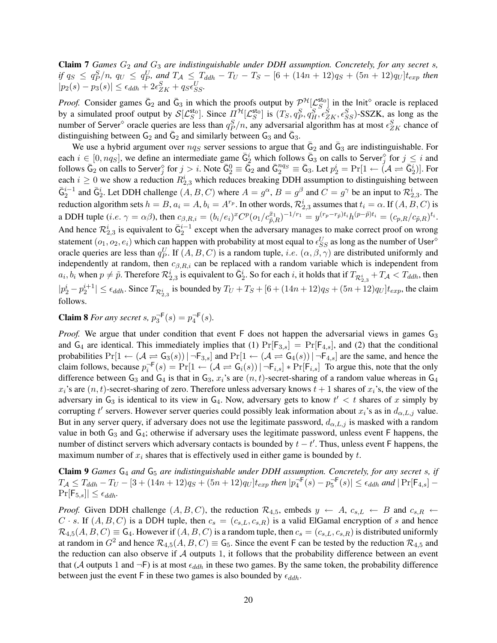**Claim 7** *Games*  $G_2$  *and*  $G_3$  *are indistinguishable under DDH assumption. Concretely, for any secret s, if*  $q_S \leq q_P^S/n$ ,  $q_U \leq q_P^U$ , and  $T_A \leq T_{ddh} - T_U - T_S - [6 + (14n + 12)q_S + (5n + 12)q_U]t_{exp}$  then  $|p_2(s) - p_3(s)| \le \epsilon_{ddh} + 2\epsilon_{ZK}^S + q_S \epsilon_{SS}^U$ .

*Proof.* Consider games  $\bar{G}_2$  and  $\bar{G}_3$  in which the proofs output by  $\mathcal{P}^{\mathcal{H}}[\mathcal{L}_S^{\mathsf{sto}}]$  in the Init<sup>o</sup> oracle is replaced by a simulated proof output by  $\mathcal{S}[\mathcal{L}_S^{\mathsf{sto}}]$ . Since  $\Pi^{\mathcal{H}}[\mathcal{L}_S^{\mathsf{sto}}]$  is  $(T_S, q_P^S, q_H^S, \epsilon_{ZK}^S, \epsilon_{SS}^S)$ -SSZK, as long as the number of Server<sup>®</sup> oracle queries are less than  $q_P^S/n$ , any adversarial algorithm has at most  $\epsilon_{ZK}^S$  chance of distinguishing between  $G_2$  and  $\bar{G}_2$  and similarly between  $G_3$  and  $\bar{G}_3$ .

We use a hybrid argument over  $nqs$  server sessions to argue that  $\bar{G}_2$  and  $\bar{G}_3$  are indistinguishable. For each  $i \in [0, nq_S]$ , we define an intermediate game  $\bar{G}_2^i$  which follows  $\bar{G}_3$  on calls to Server<sup>§</sup> for  $j \leq i$  and follows  $\bar{G}_2$  on calls to Server<sup> $\hat{G}$ </sup> for  $j > i$ . Note  $\bar{G}_2^0 \equiv \bar{\bar{G}}_2$  and  $\bar{G}_2^{ng} \equiv \bar{G}_3$ . Let  $p_2^i = \Pr[1 \leftarrow (\mathcal{A} \rightleftharpoons \bar{G}_2^i)]$ . For each  $i \geq 0$  we show a reduction  $R_{2,3}^i$  which reduces breaking DDH assumption to distinguishing between  $\bar{G}_2^{i-1}$  and  $\bar{G}_2^i$ . Let DDH challenge  $(A, B, C)$  where  $A = g^{\alpha}, B = g^{\beta}$  and  $C = g^{\gamma}$  be an input to  $\mathcal{R}_{2,3}^i$ . The reduction algorithm sets  $h=B$ ,  $a_i=A$ ,  $b_i=A^{r_p}$ . In other words,  $\mathcal{R}_{2,3}^i$  assumes that  $t_i=\alpha$ . If  $(A,B,C)$  is a DDH tuple (*i.e.*  $\gamma = \alpha \beta$ ), then  $c_{\beta, R, i} = (b_i/e_i)^x C^p (o_1/c_{\tilde{p}, R}^{\bar{x}_1})^{-1/r_1} = y^{(r_p - r_{\tilde{p}})t_i} h^{(p - \tilde{p})t_i} = (c_{p, R}/c_{\tilde{p}, R})^{t_i}$ . And hence  $\mathcal{R}_{2,3}^i$  is equivalent to  $\bar{G}_2^{i-1}$  except when the adversary manages to make correct proof on wrong statement  $(o_1, o_2, e_i)$  which can happen with probability at most equal to  $\epsilon_{SS}^U$  as long as the number of User<sup>o</sup> oracle queries are less than  $q_P^U$ . If  $(A, B, C)$  is a random tuple, *i.e.*  $(\alpha, \beta, \gamma)$  are distributed uniformly and independently at random, then  $c_{\beta,R,i}$  can be replaced with a random variable which is independent from  $a_i, b_i$  when  $p \neq \tilde{p}$ . Therefore  $\mathcal{R}_{2,3}^i$  is equivalent to  $\bar{G}_2^i$ . So for each i, it holds that if  $T_{\mathcal{R}_{2,3}^i} + T_{\mathcal{A}} < T_{ddh}$ , then  $|p_2^i - p_2^{i+1}| \leq \epsilon_{ddh}$ . Since  $T_{\mathcal{R}_{2,3}^i}$  is bounded by  $T_U + T_S + [6 + (14n + 12)q_S + (5n + 12)q_U]t_{exp}$ , the claim follows.

**Claim 8** For any secret s,  $p_3^{\neg F}(s) = p_4^{\neg F}(s)$ .

*Proof.* We argue that under condition that event F does not happen the adversarial views in games G<sub>3</sub> and  $G_4$  are identical. This immediately implies that (1)  $Pr[F_{3,s}] = Pr[F_{4,s}]$ , and (2) that the conditional probabilities  $Pr[1 \leftarrow (\mathcal{A} \rightleftharpoons G_3(s)) | \neg F_{3,s}]$  and  $Pr[1 \leftarrow (\mathcal{A} \rightleftharpoons G_4(s)) | \neg F_{4,s}]$  are the same, and hence the claim follows, because  $p_i^{-F}(s) = Pr[1 \leftarrow (\mathcal{A} \rightleftharpoons G_i(s)) | \neg F_{i,s}] * Pr[F_{i,s}]$  To argue this, note that the only difference between G<sub>3</sub> and G<sub>4</sub> is that in G<sub>3</sub>,  $x_i$ 's are  $(n, t)$ -secret-sharing of a random value whereas in G<sub>4</sub>  $x_i$ 's are  $(n, t)$ -secret-sharing of zero. Therefore unless adversary knows  $t + 1$  shares of  $x_i$ 's, the view of the adversary in  $G_3$  is identical to its view in  $G_4$ . Now, adversary gets to know  $t' < t$  shares of x simply by corrupting t' servers. However server queries could possibly leak information about  $x_i$ 's as in  $d_{\alpha,L,j}$  value. But in any server query, if adversary does not use the legitimate password,  $d_{\alpha,L,j}$  is masked with a random value in both  $G_3$  and  $G_4$ ; otherwise if adversary uses the legitimate password, unless event  $F$  happens, the number of distinct servers which adversary contacts is bounded by  $t - t'$ . Thus, unless event F happens, the maximum number of  $x_i$  shares that is effectively used in either game is bounded by  $t$ .

Claim 9 *Games* G<sup>4</sup> *and* G<sup>5</sup> *are indistinguishable under DDH assumption. Concretely, for any secret* s*, if*  $T_{\mathcal{A}} \leq T_{ddh} - T_U - [3 + (14n + 12)q_S + (5n + 12)q_U]t_{exp}$  then  $|p_4^{-F}(s) - p_5^{-F}(s)| \leq \epsilon_{ddh}$  and  $|\Pr[F_{4,s}] \Pr[\mathsf{F}_{5,s}] \leq \epsilon_{ddh}.$ 

*Proof.* Given DDH challenge  $(A, B, C)$ , the reduction  $\mathcal{R}_{4,5}$ , embeds  $y \leftarrow A$ ,  $c_{s,L} \leftarrow B$  and  $c_{s,R} \leftarrow$  $C \cdot s$ . If  $(A, B, C)$  is a DDH tuple, then  $c_s = (c_{s,L}, c_{s,R})$  is a valid ElGamal encryption of s and hence  $\mathcal{R}_{4,5}(A, B, C) \equiv \mathsf{G}_4$ . However if  $(A, B, C)$  is a random tuple, then  $c_s = (c_{s,L}, c_{s,R})$  is distributed uniformly at random in  $G^2$  and hence  $\mathcal{R}_{4,5}(A, B, C) \equiv \mathsf{G}_5$ . Since the event F can be tested by the reduction  $\mathcal{R}_{4,5}$  and the reduction can also observe if  $A$  outputs 1, it follows that the probability difference between an event that (A outputs 1 and  $\neg$ F) is at most  $\epsilon_{ddh}$  in these two games. By the same token, the probability difference between just the event F in these two games is also bounded by  $\epsilon_{ddh}$ .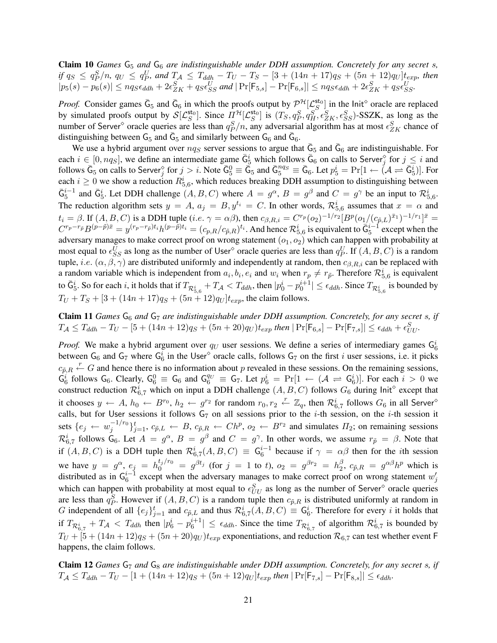Claim 10 *Games*  $G_5$  *and*  $G_6$  *are indistinguishable under DDH assumption. Concretely for any secret s, if*  $q_S \leq q_P^S/n$ ,  $q_U \leq q_P^U$ , and  $T_{\mathcal{A}} \leq T_{ddh} - T_U - T_S - [3 + (14n + 17)q_S + (5n + 12)q_U]t_{exp}$ , then  $|p_5(s) - p_6(s)| \leq nqs\epsilon_{ddh} + 2\epsilon_{ZK}^S + q_S\epsilon_{SS}^U$  and  $|\Pr[\mathsf{F}_{5,s}] - \Pr[\mathsf{F}_{6,s}]| \leq nqs\epsilon_{ddh} + 2\epsilon_{ZK}^S + q_S\epsilon_{SS}^U$ .

*Proof.* Consider games  $\bar{G}_5$  and  $\bar{G}_6$  in which the proofs output by  $\mathcal{P}^{\mathcal{H}}[\mathcal{L}_S^{\text{sto}}]$  in the Init<sup>o</sup> oracle are replaced by simulated proofs output by  $\mathcal{S}[\mathcal{L}_S^{\text{sto}}]$ . Since  $\Pi^{\mathcal{H}}[\mathcal{L}_S^{\text{sto}}]$  is  $(T_S, q_P^S, q_H^S, \epsilon_{ZK}^S, \epsilon_{SS}^S)$ -SSZK, as long as the number of Server<sup>®</sup> oracle queries are less than  $q_P^S/n$ , any adversarial algorithm has at most  $\epsilon_{ZK}^S$  chance of distinguishing between  $G_5$  and  $\bar{G}_5$  and similarly between  $G_6$  and  $\bar{G}_6$ .

We use a hybrid argument over  $nq_s$  server sessions to argue that  $\bar{G}_5$  and  $\bar{G}_6$  are indistinguishable. For each  $i \in [0, nqs]$ , we define an intermediate game  $\bar{G}_5^i$  which follows  $\bar{G}_6$  on calls to Server<sup>§</sup> for  $j \leq i$  and follows  $\bar{\mathsf{G}}_5$  on calls to Server<sup>9</sup> for  $j > i$ . Note  $\bar{\mathsf{G}}_5^0 \equiv \bar{\mathsf{G}}_5$  and  $\bar{\mathsf{G}}_5^{ng} \equiv \bar{\mathsf{G}}_6$ . Let  $p_5^i = \Pr[1 \leftarrow (\mathcal{A} \rightleftharpoons \bar{\mathsf{G}}_5^i)]$ . For each  $i \geq 0$  we show a reduction  $R_{5,6}^i$ , which reduces breaking DDH assumption to distinguishing between  $\bar{\mathsf{G}}_5^{i-1}$  and  $\bar{\mathsf{G}}_5^i$ . Let DDH challenge  $(A, B, C)$  where  $A = g^{\alpha}, B = g^{\beta}$  and  $C = g^{\gamma}$  be an input to  $\mathcal{R}_{5,6}^i$ . The reduction algorithm sets  $y = A$ ,  $a_j = B$ ,  $y^{t_i} = C$ . In other words,  $\mathcal{R}_{5,6}^{i}$  assumes that  $x = \alpha$  and  $t_i = \beta$ . If  $(A, B, C)$  is a DDH tuple (*i.e.*  $\gamma = \alpha \beta$ ), then  $c_{\beta, R,i} = C^{r_p} (o_2)^{-1/r_2} [B^p (o_1/(c_{\tilde{p},L})^{\bar{x}_1})^{-1/r_1}]^{\bar{x}} =$  $C^{r_p-r_{\tilde{p}}}B^{(p-\tilde{p})\bar{x}}=y^{(r_p-r_{\tilde{p}})t_i}h^{(p-\tilde{p})t_i}=(c_{p,R}/c_{\tilde{p},R})^{t_i}$ . And hence  $\mathcal{R}_{5,6}^i$  is equivalent to  $\bar{G}_5^{i-1}$  except when the adversary manages to make correct proof on wrong statement  $(o_1, o_2)$  which can happen with probability at most equal to  $\epsilon_{SS}^U$  as long as the number of User<sup> $\circ$ </sup> oracle queries are less than  $q_P^U$ . If  $(A, B, C)$  is a random tuple, i.e.  $(\alpha, \beta, \gamma)$  are distributed uniformly and independently at random, then  $c_{\beta,R,i}$  can be replaced with a random variable which is independent from  $a_i, b_i, e_i$  and  $w_i$  when  $r_p \neq r_{\tilde{p}}$ . Therefore  $\mathcal{R}_{5,6}^i$  is equivalent to  $\bar{G}_5^i$ . So for each i, it holds that if  $T_{\mathcal{R}^i_{5,6}}+T_{\mathcal{A}} < T_{ddh}$ , then  $|p_0^i - p_0^{i+1}| \leq \epsilon_{ddh}$ . Since  $T_{\mathcal{R}^i_{5,6}}$  is bounded by  $T_U + T_S + [3 + (14n + 17)q_S + (5n + 12)q_U]t_{exp}$ , the claim follows.

**Claim 11** *Games*  $G_6$  *and*  $G_7$  *are indistinguishable under DDH assumption. Concretely, for any secret s, if*  $T_{\mathcal{A}} \leq T_{ddh} - T_U - [5 + (14n + 12)q_S + (5n + 20)q_U)t_{exp}$  then  $|\Pr[\mathsf{F}_{6,s}] - \Pr[\mathsf{F}_{7,s}]| \leq \epsilon_{ddh} + \epsilon_{UU}^S$ .

*Proof.* We make a hybrid argument over  $q_U$  user sessions. We define a series of intermediary games  $G_6^i$ between  $G_6$  and  $G_7$  where  $G_6^i$  in the User<sup> $\circ$ </sup> oracle calls, follows  $G_7$  on the first *i* user sessions, i.e. it picks  $c_{\tilde{p},R} \stackrel{r}{\leftarrow} G$  and hence there is no information about p revealed in these sessions. On the remaining sessions,  $\mathsf{G}_6^i$  follows  $\mathsf{G}_6$ . Clearly,  $\mathsf{G}_6^0 \equiv \mathsf{G}_6$  and  $\mathsf{G}_6^{q_U} \equiv \mathsf{G}_7$ . Let  $p_6^i = \Pr[1 \leftarrow (\mathcal{A} \rightleftharpoons \mathsf{G}_6^i)]$ . For each  $i > 0$  we construct reduction  $\mathcal{R}_{6,7}^i$  which on input a DDH challenge  $(A, B, C)$  follows  $G_6$  during lnit<sup>o</sup> except that it chooses  $y \leftarrow A$ ,  $h_0 \leftarrow B^{r_0}$ ,  $h_2 \leftarrow g^{r_2}$  for random  $r_0, r_2 \leftarrow \mathbb{Z}_q$ , then  $\mathcal{R}^i_{6,7}$  follows  $G_6$  in all Server<sup>8</sup> calls, but for User sessions it follows  $G_7$  on all sessions prior to the *i*-th session, on the *i*-th session it sets  $\{e_j \leftarrow w_j^{-1/r_0}\}$  ${j-1/r_0 \atop j}$  $j=1, c_{\tilde{p},L} \leftarrow B, c_{\tilde{p},R} \leftarrow Ch^p, o_2 \leftarrow B^{r_2}$  and simulates  $\Pi_2$ ; on remaining sessions  $\mathcal{R}^i_{6,7}$  follows  $\mathsf{G}_6$ . Let  $A = g^{\alpha}, B = g^{\beta}$  and  $C = g^{\gamma}$ . In other words, we assume  $r_{\tilde{p}} = \beta$ . Note that if  $(A, B, C)$  is a DDH tuple then  $\mathcal{R}^i_{6,7}(A, B, C) \equiv G_6^{i-1}$  because if  $\gamma = \alpha \beta$  then for the *i*th session we have  $y = g^{\alpha}$ ,  $e_j = h_0^{t_j/r_0} = g^{\beta t_j}$  (for  $j = 1$  to t),  $o_2 = g^{\beta r_2} = h_2^{\beta}$  $e_2^{\beta}$ ,  $c_{\tilde{p},R} = g^{\alpha\beta}h^p$  which is distributed as in  $G_6^{i-1}$  except when the adversary manages to make correct proof on wrong statement  $w'_j$ which can happen with probability at most equal to  $\epsilon_{UU}^S$  as long as the number of Server<sup> $\diamond$ </sup> oracle queries are less than  $q_P^S$ . However if  $(A, B, C)$  is a random tuple then  $c_{\tilde{p},R}$  is distributed uniformly at random in G independent of all  $\{e_j\}_{j=1}^t$  and  $c_{\tilde{p},L}$  and thus  $\mathcal{R}^i_{6,7}(A, B, C) \equiv \mathsf{G}^i_6$ . Therefore for every i it holds that if  $T_{\mathcal{R}^i_{6,7}} + T_{\mathcal{A}} < T_{ddh}$  then  $|p_6^i - p_6^{i+1}| \leq \epsilon_{ddh}$ . Since the time  $T_{\mathcal{R}^i_{6,7}}$  of algorithm  $\mathcal{R}^i_{6,7}$  is bounded by  $T_U + [5 + (14n + 12)q_S + (5n + 20)q_U]$   $t_{exp}$  exponentiations, and reduction  $\mathcal{R}_{6,7}$  can test whether event F happens, the claim follows.

Claim 12 *Games* G<sub>7</sub> and G<sub>8</sub> are indistinguishable under DDH assumption. Concretely, for any secret s, if  $T_A \leq T_{ddh} - T_U - [1 + (14n + 12)q_S + (5n + 12)q_U]t_{exp}$  then  $|\Pr[F_{7,s}] - \Pr[F_{8,s}]| \leq \epsilon_{ddh}$ .